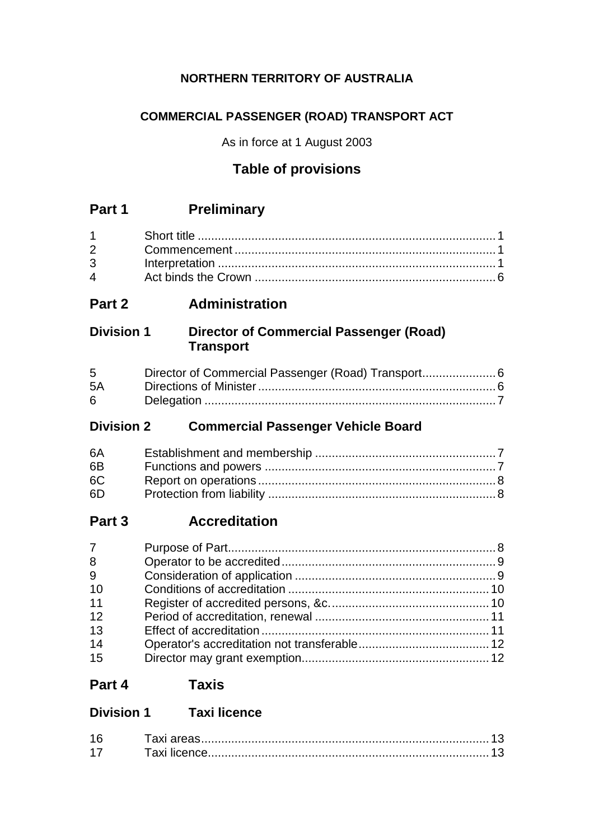## **NORTHERN TERRITORY OF AUSTRALIA**

## **COMMERCIAL PASSENGER (ROAD) TRANSPORT ACT**

As in force at 1 August 2003

# **Table of provisions**

## **Part 1 Preliminary**

| $\overline{4}$ |  |
|----------------|--|

# **Part 2 Administration**

## **Division 1 Director of Commercial Passenger (Road) Transport**

| $5^{\circ}$ |  |
|-------------|--|
| 5A          |  |
| 6           |  |

## **Division 2 Commercial Passenger Vehicle Board**

| 6A             |  |
|----------------|--|
| 6 <sub>B</sub> |  |
| 6C             |  |
| 6D             |  |

## **Part 3 Accreditation**

| $7\overline{ }$ |  |
|-----------------|--|
| 8               |  |
| 9               |  |
| 10              |  |
| 11              |  |
| 12              |  |
| 13              |  |
| 14              |  |
| 15              |  |

## **Part 4 Taxis**

## **Division 1 Taxi licence**

| 16 |  |
|----|--|
| 17 |  |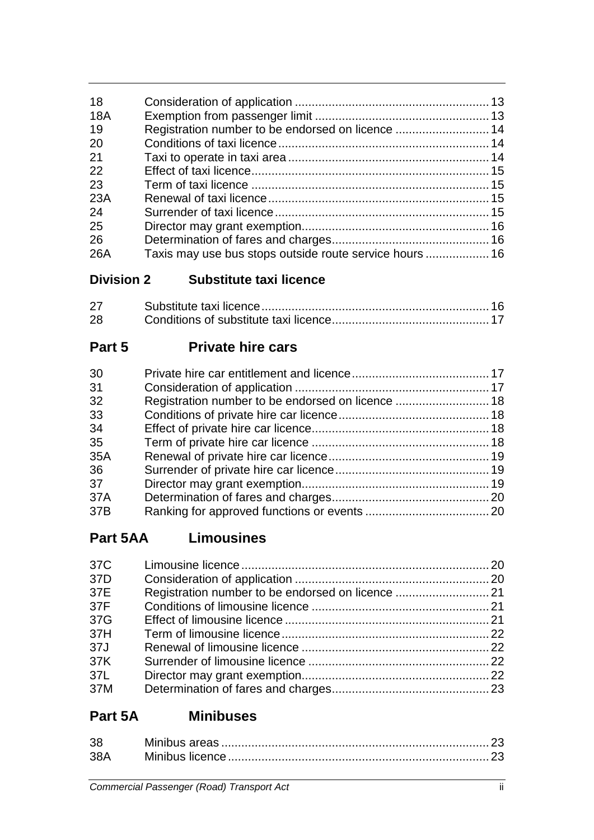# **Division 2 Substitute taxi licence**

| 27 |  |
|----|--|
| 28 |  |

# **Part 5 Private hire cars**

| 30  |  |
|-----|--|
| 31  |  |
| 32  |  |
| 33  |  |
| 34  |  |
| 35  |  |
| 35A |  |
| 36  |  |
| 37  |  |
| 37A |  |
| 37B |  |

# **Part 5AA Limousines**

| 37C |  |
|-----|--|
| 37D |  |
| 37E |  |
| 37F |  |
| 37G |  |
| 37H |  |
| 37J |  |
| 37K |  |
| 37L |  |
| 37M |  |

# **Part 5A Minibuses**

| 38 |  |
|----|--|
|    |  |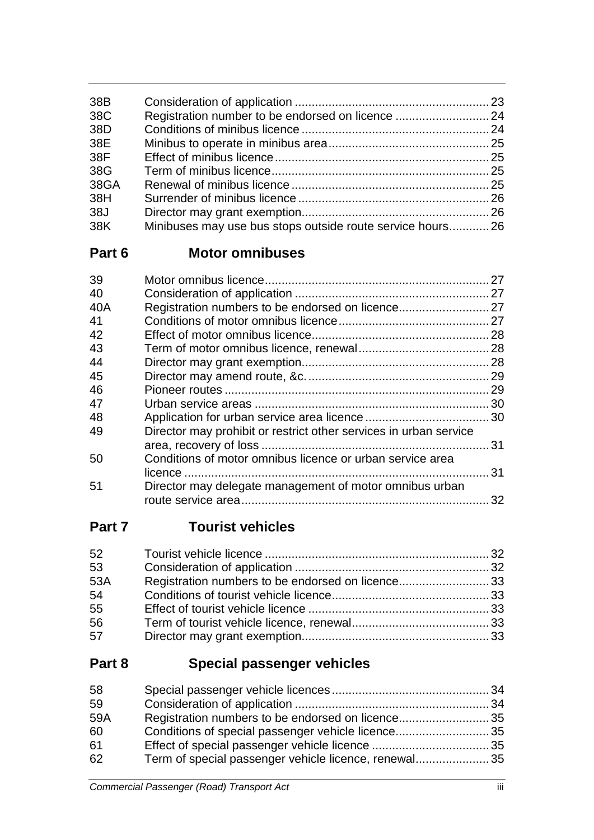| 38B  |                                                           |  |
|------|-----------------------------------------------------------|--|
| 38C  |                                                           |  |
| 38D  |                                                           |  |
| 38E  |                                                           |  |
| 38F  |                                                           |  |
| 38G  |                                                           |  |
| 38GA |                                                           |  |
| 38H  |                                                           |  |
| 38J  |                                                           |  |
| 38K  | Minibuses may use bus stops outside route service hours26 |  |

# **Part 6 Motor omnibuses**

| Director may prohibit or restrict other services in urban service |    |
|-------------------------------------------------------------------|----|
|                                                                   |    |
| Conditions of motor omnibus licence or urban service area         |    |
|                                                                   | 31 |
| Director may delegate management of motor omnibus urban           |    |
|                                                                   | 32 |
|                                                                   |    |

# **Part 7 Tourist vehicles**

| Registration numbers to be endorsed on licence33 |
|--------------------------------------------------|
|                                                  |
|                                                  |
|                                                  |
|                                                  |
|                                                  |

# **Part 8 Special passenger vehicles**

| 58  |                                                      |  |
|-----|------------------------------------------------------|--|
| 59  |                                                      |  |
| 59A | Registration numbers to be endorsed on licence35     |  |
| 60  | Conditions of special passenger vehicle licence35    |  |
| 61  |                                                      |  |
| 62  | Term of special passenger vehicle licence, renewal35 |  |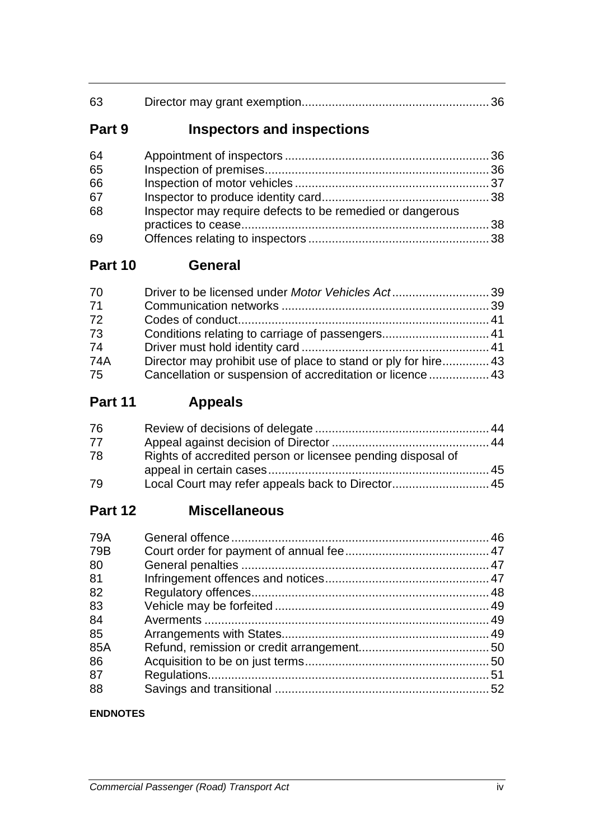| 63 |  |
|----|--|
|    |  |

# **Part 9 Inspectors and inspections**

| 64 |                                                           |  |
|----|-----------------------------------------------------------|--|
| 65 |                                                           |  |
| 66 |                                                           |  |
| 67 |                                                           |  |
| 68 | Inspector may require defects to be remedied or dangerous |  |
|    |                                                           |  |
| 69 |                                                           |  |

## **Part 10 General**

| Cancellation or suspension of accreditation or licence  43 |  |
|------------------------------------------------------------|--|
|                                                            |  |

# **Part 11 Appeals**

| 76 |                                                             |  |
|----|-------------------------------------------------------------|--|
| 77 |                                                             |  |
| 78 | Rights of accredited person or licensee pending disposal of |  |
|    |                                                             |  |
| 79 | Local Court may refer appeals back to Director 45           |  |

# **Part 12 Miscellaneous**

| 79A |  |
|-----|--|
| 79B |  |
| 80  |  |
| 81  |  |
| 82  |  |
| 83  |  |
| 84  |  |
| 85  |  |
| 85A |  |
| 86  |  |
| 87  |  |
| 88  |  |

## **ENDNOTES**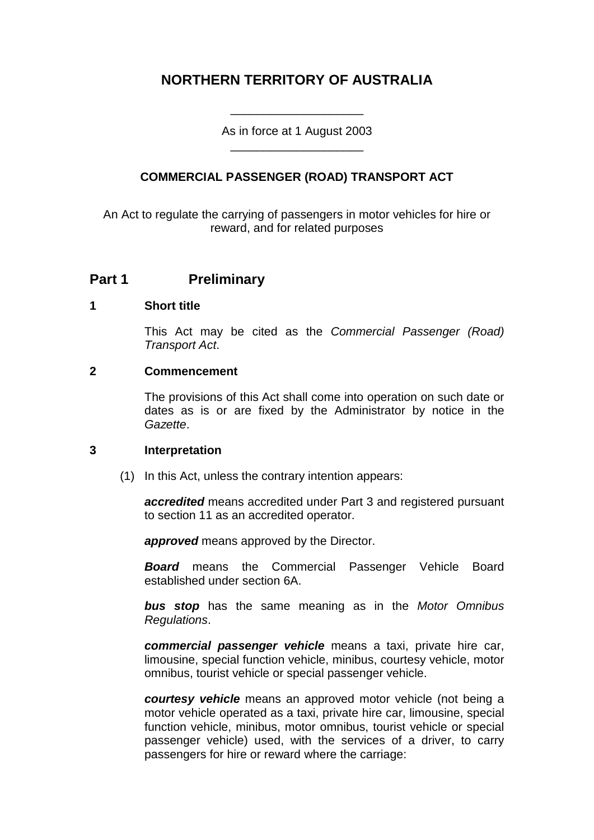## **NORTHERN TERRITORY OF AUSTRALIA**

As in force at 1 August 2003 \_\_\_\_\_\_\_\_\_\_\_\_\_\_\_\_\_\_\_\_

\_\_\_\_\_\_\_\_\_\_\_\_\_\_\_\_\_\_\_\_

## **COMMERCIAL PASSENGER (ROAD) TRANSPORT ACT**

An Act to regulate the carrying of passengers in motor vehicles for hire or reward, and for related purposes

## **Part 1 Preliminary**

## **1 Short title**

This Act may be cited as the *Commercial Passenger (Road) Transport Act*.

## **2 Commencement**

The provisions of this Act shall come into operation on such date or dates as is or are fixed by the Administrator by notice in the *Gazette*.

## **3 Interpretation**

(1) In this Act, unless the contrary intention appears:

*accredited* means accredited under Part 3 and registered pursuant to section 11 as an accredited operator.

*approved* means approved by the Director.

*Board* means the Commercial Passenger Vehicle Board established under section 6A.

*bus stop* has the same meaning as in the *Motor Omnibus Regulations*.

*commercial passenger vehicle* means a taxi, private hire car, limousine, special function vehicle, minibus, courtesy vehicle, motor omnibus, tourist vehicle or special passenger vehicle.

*courtesy vehicle* means an approved motor vehicle (not being a motor vehicle operated as a taxi, private hire car, limousine, special function vehicle, minibus, motor omnibus, tourist vehicle or special passenger vehicle) used, with the services of a driver, to carry passengers for hire or reward where the carriage: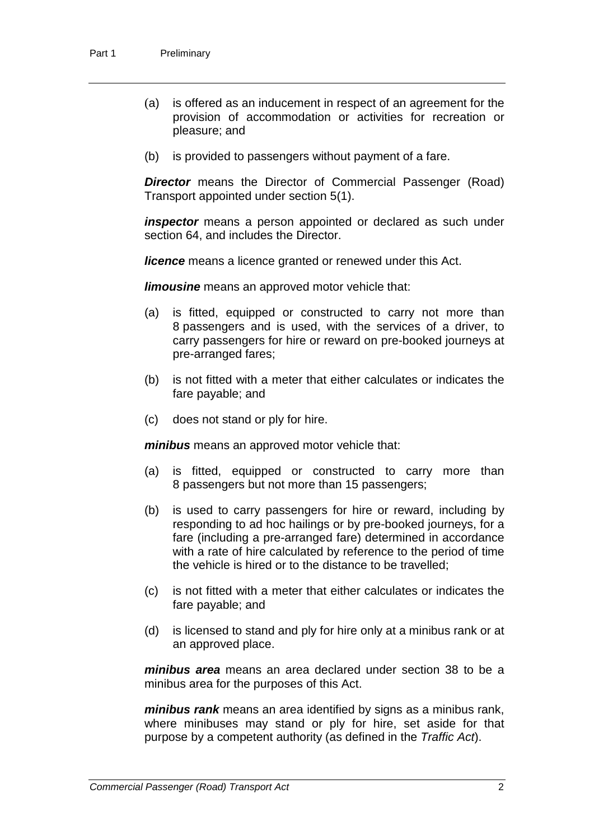- (a) is offered as an inducement in respect of an agreement for the provision of accommodation or activities for recreation or pleasure; and
- (b) is provided to passengers without payment of a fare.

**Director** means the Director of Commercial Passenger (Road) Transport appointed under section 5(1).

*inspector* means a person appointed or declared as such under section 64, and includes the Director.

*licence* means a licence granted or renewed under this Act.

*limousine* means an approved motor vehicle that:

- (a) is fitted, equipped or constructed to carry not more than 8 passengers and is used, with the services of a driver, to carry passengers for hire or reward on pre-booked journeys at pre-arranged fares;
- (b) is not fitted with a meter that either calculates or indicates the fare payable; and
- (c) does not stand or ply for hire.

*minibus* means an approved motor vehicle that:

- (a) is fitted, equipped or constructed to carry more than 8 passengers but not more than 15 passengers;
- (b) is used to carry passengers for hire or reward, including by responding to ad hoc hailings or by pre-booked journeys, for a fare (including a pre-arranged fare) determined in accordance with a rate of hire calculated by reference to the period of time the vehicle is hired or to the distance to be travelled;
- (c) is not fitted with a meter that either calculates or indicates the fare payable; and
- (d) is licensed to stand and ply for hire only at a minibus rank or at an approved place.

*minibus area* means an area declared under section 38 to be a minibus area for the purposes of this Act.

*minibus rank* means an area identified by signs as a minibus rank, where minibuses may stand or ply for hire, set aside for that purpose by a competent authority (as defined in the *Traffic Act*).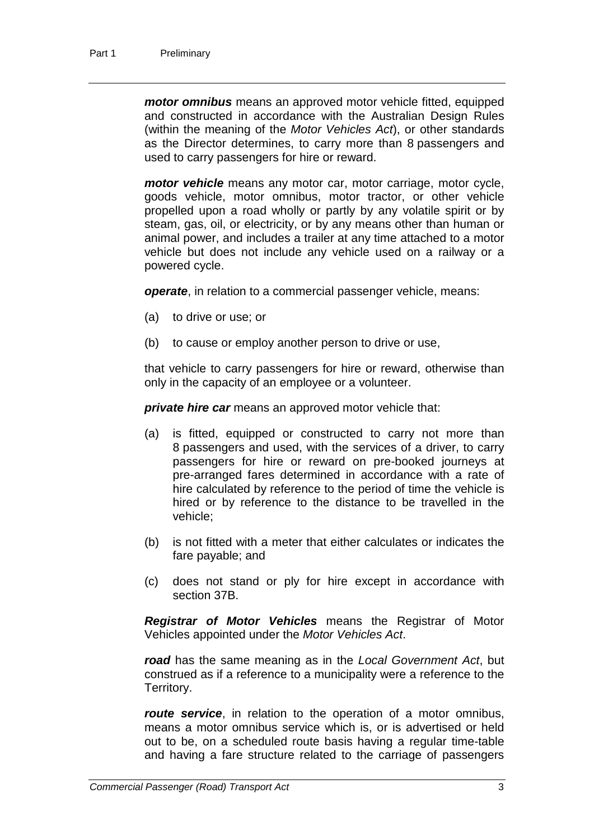*motor omnibus* means an approved motor vehicle fitted, equipped and constructed in accordance with the Australian Design Rules (within the meaning of the *Motor Vehicles Act*), or other standards as the Director determines, to carry more than 8 passengers and used to carry passengers for hire or reward.

*motor vehicle* means any motor car, motor carriage, motor cycle, goods vehicle, motor omnibus, motor tractor, or other vehicle propelled upon a road wholly or partly by any volatile spirit or by steam, gas, oil, or electricity, or by any means other than human or animal power, and includes a trailer at any time attached to a motor vehicle but does not include any vehicle used on a railway or a powered cycle.

*operate*, in relation to a commercial passenger vehicle, means:

- (a) to drive or use; or
- (b) to cause or employ another person to drive or use,

that vehicle to carry passengers for hire or reward, otherwise than only in the capacity of an employee or a volunteer.

*private hire car* means an approved motor vehicle that:

- (a) is fitted, equipped or constructed to carry not more than 8 passengers and used, with the services of a driver, to carry passengers for hire or reward on pre-booked journeys at pre-arranged fares determined in accordance with a rate of hire calculated by reference to the period of time the vehicle is hired or by reference to the distance to be travelled in the vehicle;
- (b) is not fitted with a meter that either calculates or indicates the fare payable; and
- (c) does not stand or ply for hire except in accordance with section 37B.

*Registrar of Motor Vehicles* means the Registrar of Motor Vehicles appointed under the *Motor Vehicles Act*.

*road* has the same meaning as in the *Local Government Act*, but construed as if a reference to a municipality were a reference to the Territory.

*route service*, in relation to the operation of a motor omnibus, means a motor omnibus service which is, or is advertised or held out to be, on a scheduled route basis having a regular time-table and having a fare structure related to the carriage of passengers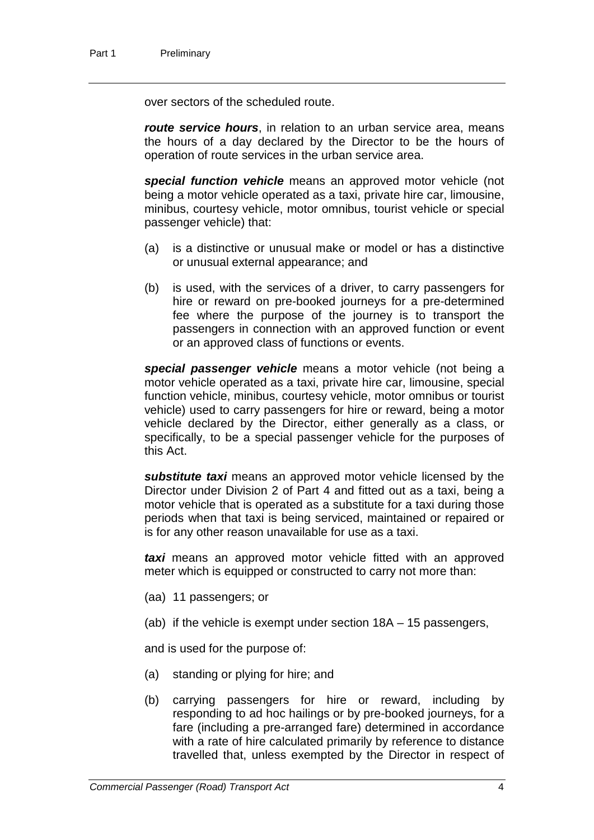over sectors of the scheduled route.

*route service hours*, in relation to an urban service area, means the hours of a day declared by the Director to be the hours of operation of route services in the urban service area.

*special function vehicle* means an approved motor vehicle (not being a motor vehicle operated as a taxi, private hire car, limousine, minibus, courtesy vehicle, motor omnibus, tourist vehicle or special passenger vehicle) that:

- (a) is a distinctive or unusual make or model or has a distinctive or unusual external appearance; and
- (b) is used, with the services of a driver, to carry passengers for hire or reward on pre-booked journeys for a pre-determined fee where the purpose of the journey is to transport the passengers in connection with an approved function or event or an approved class of functions or events.

*special passenger vehicle* means a motor vehicle (not being a motor vehicle operated as a taxi, private hire car, limousine, special function vehicle, minibus, courtesy vehicle, motor omnibus or tourist vehicle) used to carry passengers for hire or reward, being a motor vehicle declared by the Director, either generally as a class, or specifically, to be a special passenger vehicle for the purposes of this Act.

*substitute taxi* means an approved motor vehicle licensed by the Director under Division 2 of Part 4 and fitted out as a taxi, being a motor vehicle that is operated as a substitute for a taxi during those periods when that taxi is being serviced, maintained or repaired or is for any other reason unavailable for use as a taxi.

*taxi* means an approved motor vehicle fitted with an approved meter which is equipped or constructed to carry not more than:

- (aa) 11 passengers; or
- (ab) if the vehicle is exempt under section 18A 15 passengers,

and is used for the purpose of:

- (a) standing or plying for hire; and
- (b) carrying passengers for hire or reward, including by responding to ad hoc hailings or by pre-booked journeys, for a fare (including a pre-arranged fare) determined in accordance with a rate of hire calculated primarily by reference to distance travelled that, unless exempted by the Director in respect of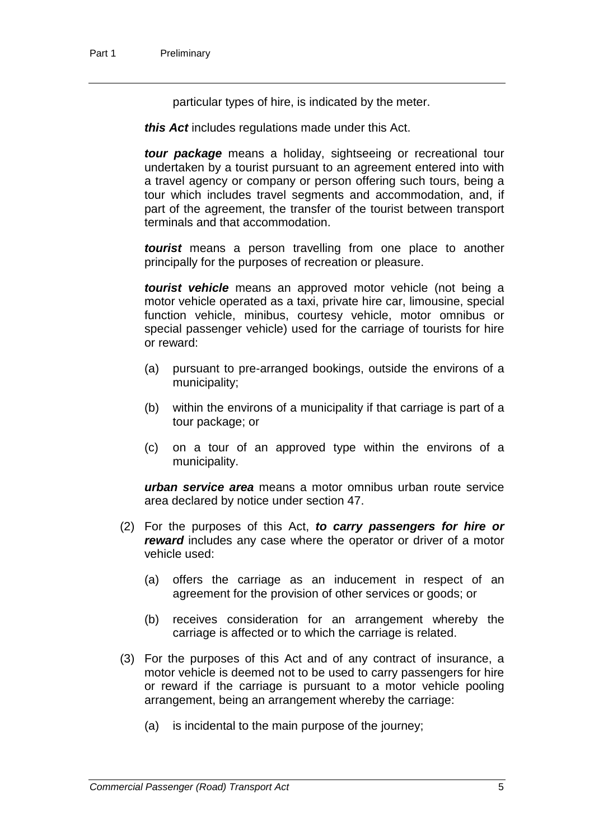particular types of hire, is indicated by the meter.

*this Act* includes regulations made under this Act.

*tour package* means a holiday, sightseeing or recreational tour undertaken by a tourist pursuant to an agreement entered into with a travel agency or company or person offering such tours, being a tour which includes travel segments and accommodation, and, if part of the agreement, the transfer of the tourist between transport terminals and that accommodation.

*tourist* means a person travelling from one place to another principally for the purposes of recreation or pleasure.

*tourist vehicle* means an approved motor vehicle (not being a motor vehicle operated as a taxi, private hire car, limousine, special function vehicle, minibus, courtesy vehicle, motor omnibus or special passenger vehicle) used for the carriage of tourists for hire or reward:

- (a) pursuant to pre-arranged bookings, outside the environs of a municipality;
- (b) within the environs of a municipality if that carriage is part of a tour package; or
- (c) on a tour of an approved type within the environs of a municipality.

*urban service area* means a motor omnibus urban route service area declared by notice under section 47.

- (2) For the purposes of this Act, *to carry passengers for hire or reward* includes any case where the operator or driver of a motor vehicle used:
	- (a) offers the carriage as an inducement in respect of an agreement for the provision of other services or goods; or
	- (b) receives consideration for an arrangement whereby the carriage is affected or to which the carriage is related.
- (3) For the purposes of this Act and of any contract of insurance, a motor vehicle is deemed not to be used to carry passengers for hire or reward if the carriage is pursuant to a motor vehicle pooling arrangement, being an arrangement whereby the carriage:
	- (a) is incidental to the main purpose of the journey;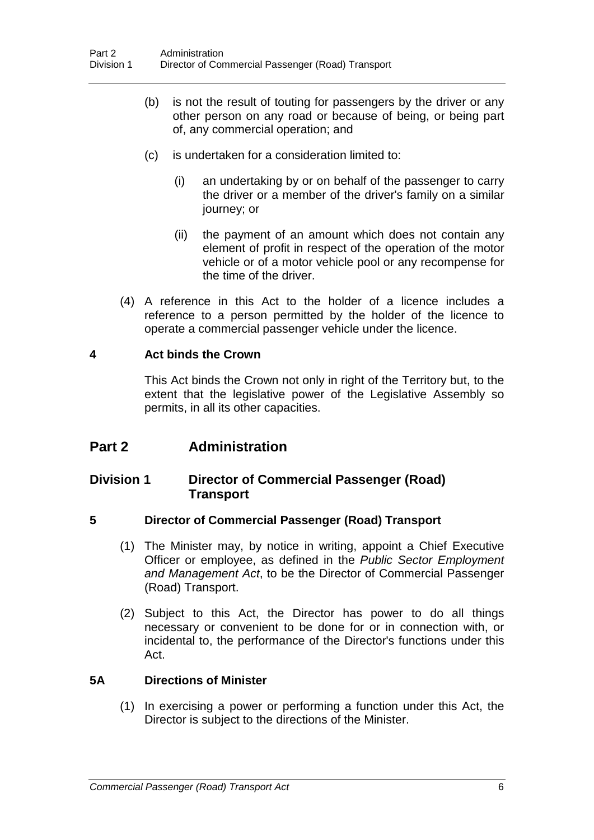- (b) is not the result of touting for passengers by the driver or any other person on any road or because of being, or being part of, any commercial operation; and
- (c) is undertaken for a consideration limited to:
	- (i) an undertaking by or on behalf of the passenger to carry the driver or a member of the driver's family on a similar journey; or
	- (ii) the payment of an amount which does not contain any element of profit in respect of the operation of the motor vehicle or of a motor vehicle pool or any recompense for the time of the driver.
- (4) A reference in this Act to the holder of a licence includes a reference to a person permitted by the holder of the licence to operate a commercial passenger vehicle under the licence.

## **4 Act binds the Crown**

This Act binds the Crown not only in right of the Territory but, to the extent that the legislative power of the Legislative Assembly so permits, in all its other capacities.

## **Part 2 Administration**

## **Division 1 Director of Commercial Passenger (Road) Transport**

## **5 Director of Commercial Passenger (Road) Transport**

- (1) The Minister may, by notice in writing, appoint a Chief Executive Officer or employee, as defined in the *Public Sector Employment and Management Act*, to be the Director of Commercial Passenger (Road) Transport.
- (2) Subject to this Act, the Director has power to do all things necessary or convenient to be done for or in connection with, or incidental to, the performance of the Director's functions under this Act.

## **5A Directions of Minister**

(1) In exercising a power or performing a function under this Act, the Director is subject to the directions of the Minister.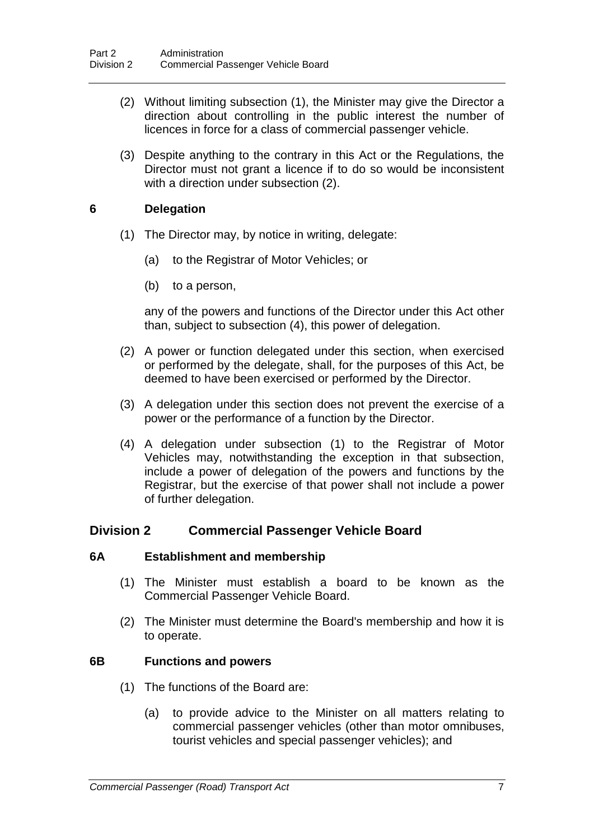- (2) Without limiting subsection (1), the Minister may give the Director a direction about controlling in the public interest the number of licences in force for a class of commercial passenger vehicle.
- (3) Despite anything to the contrary in this Act or the Regulations, the Director must not grant a licence if to do so would be inconsistent with a direction under subsection (2).

## **6 Delegation**

- (1) The Director may, by notice in writing, delegate:
	- (a) to the Registrar of Motor Vehicles; or
	- (b) to a person,

any of the powers and functions of the Director under this Act other than, subject to subsection (4), this power of delegation.

- (2) A power or function delegated under this section, when exercised or performed by the delegate, shall, for the purposes of this Act, be deemed to have been exercised or performed by the Director.
- (3) A delegation under this section does not prevent the exercise of a power or the performance of a function by the Director.
- (4) A delegation under subsection (1) to the Registrar of Motor Vehicles may, notwithstanding the exception in that subsection, include a power of delegation of the powers and functions by the Registrar, but the exercise of that power shall not include a power of further delegation.

## **Division 2 Commercial Passenger Vehicle Board**

## **6A Establishment and membership**

- (1) The Minister must establish a board to be known as the Commercial Passenger Vehicle Board.
- (2) The Minister must determine the Board's membership and how it is to operate.

## **6B Functions and powers**

- (1) The functions of the Board are:
	- (a) to provide advice to the Minister on all matters relating to commercial passenger vehicles (other than motor omnibuses, tourist vehicles and special passenger vehicles); and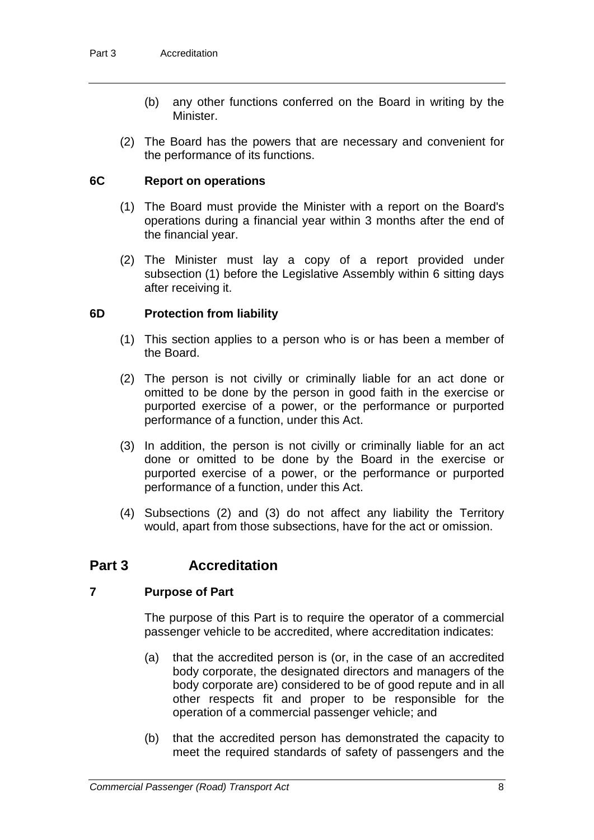- (b) any other functions conferred on the Board in writing by the Minister.
- (2) The Board has the powers that are necessary and convenient for the performance of its functions.

## **6C Report on operations**

- (1) The Board must provide the Minister with a report on the Board's operations during a financial year within 3 months after the end of the financial year.
- (2) The Minister must lay a copy of a report provided under subsection (1) before the Legislative Assembly within 6 sitting days after receiving it.

## **6D Protection from liability**

- (1) This section applies to a person who is or has been a member of the Board.
- (2) The person is not civilly or criminally liable for an act done or omitted to be done by the person in good faith in the exercise or purported exercise of a power, or the performance or purported performance of a function, under this Act.
- (3) In addition, the person is not civilly or criminally liable for an act done or omitted to be done by the Board in the exercise or purported exercise of a power, or the performance or purported performance of a function, under this Act.
- (4) Subsections (2) and (3) do not affect any liability the Territory would, apart from those subsections, have for the act or omission.

## **Part 3 Accreditation**

## **7 Purpose of Part**

The purpose of this Part is to require the operator of a commercial passenger vehicle to be accredited, where accreditation indicates:

- (a) that the accredited person is (or, in the case of an accredited body corporate, the designated directors and managers of the body corporate are) considered to be of good repute and in all other respects fit and proper to be responsible for the operation of a commercial passenger vehicle; and
- (b) that the accredited person has demonstrated the capacity to meet the required standards of safety of passengers and the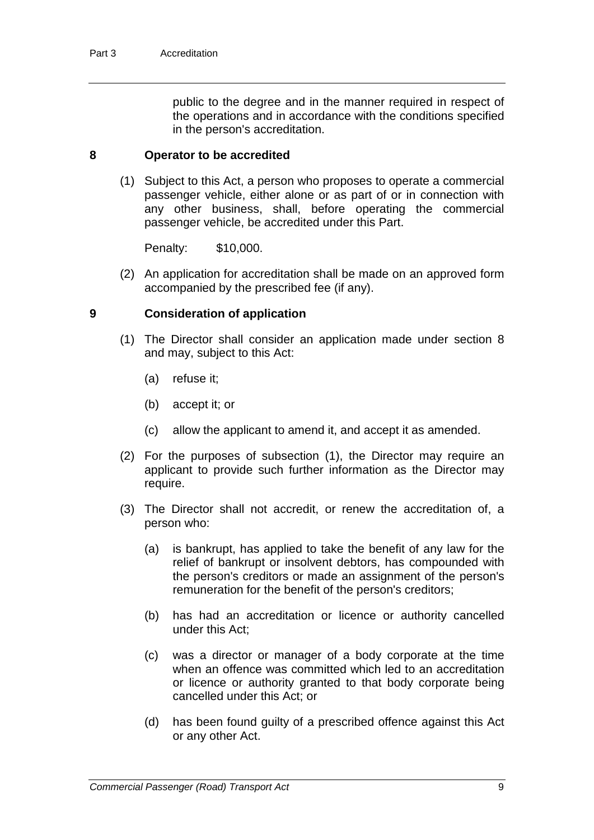public to the degree and in the manner required in respect of the operations and in accordance with the conditions specified in the person's accreditation.

### **8 Operator to be accredited**

(1) Subject to this Act, a person who proposes to operate a commercial passenger vehicle, either alone or as part of or in connection with any other business, shall, before operating the commercial passenger vehicle, be accredited under this Part.

Penalty: \$10,000.

(2) An application for accreditation shall be made on an approved form accompanied by the prescribed fee (if any).

### **9 Consideration of application**

- (1) The Director shall consider an application made under section 8 and may, subject to this Act:
	- (a) refuse it;
	- (b) accept it; or
	- (c) allow the applicant to amend it, and accept it as amended.
- (2) For the purposes of subsection (1), the Director may require an applicant to provide such further information as the Director may require.
- (3) The Director shall not accredit, or renew the accreditation of, a person who:
	- (a) is bankrupt, has applied to take the benefit of any law for the relief of bankrupt or insolvent debtors, has compounded with the person's creditors or made an assignment of the person's remuneration for the benefit of the person's creditors;
	- (b) has had an accreditation or licence or authority cancelled under this Act;
	- (c) was a director or manager of a body corporate at the time when an offence was committed which led to an accreditation or licence or authority granted to that body corporate being cancelled under this Act; or
	- (d) has been found guilty of a prescribed offence against this Act or any other Act.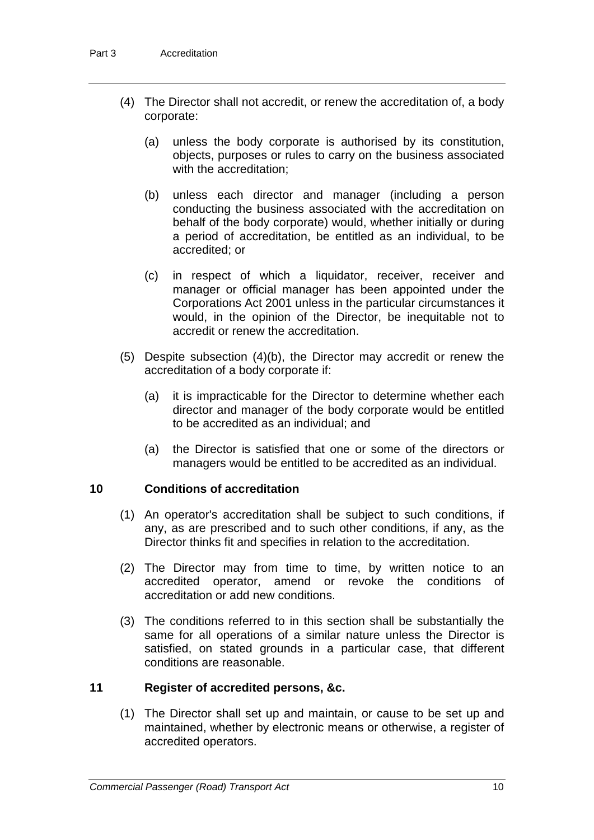- (4) The Director shall not accredit, or renew the accreditation of, a body corporate:
	- (a) unless the body corporate is authorised by its constitution, objects, purposes or rules to carry on the business associated with the accreditation;
	- (b) unless each director and manager (including a person conducting the business associated with the accreditation on behalf of the body corporate) would, whether initially or during a period of accreditation, be entitled as an individual, to be accredited; or
	- (c) in respect of which a liquidator, receiver, receiver and manager or official manager has been appointed under the Corporations Act 2001 unless in the particular circumstances it would, in the opinion of the Director, be inequitable not to accredit or renew the accreditation.
- (5) Despite subsection (4)(b), the Director may accredit or renew the accreditation of a body corporate if:
	- (a) it is impracticable for the Director to determine whether each director and manager of the body corporate would be entitled to be accredited as an individual; and
	- (a) the Director is satisfied that one or some of the directors or managers would be entitled to be accredited as an individual.

## **10 Conditions of accreditation**

- (1) An operator's accreditation shall be subject to such conditions, if any, as are prescribed and to such other conditions, if any, as the Director thinks fit and specifies in relation to the accreditation.
- (2) The Director may from time to time, by written notice to an accredited operator, amend or revoke the conditions of accreditation or add new conditions.
- (3) The conditions referred to in this section shall be substantially the same for all operations of a similar nature unless the Director is satisfied, on stated grounds in a particular case, that different conditions are reasonable.

## **11 Register of accredited persons, &c.**

(1) The Director shall set up and maintain, or cause to be set up and maintained, whether by electronic means or otherwise, a register of accredited operators.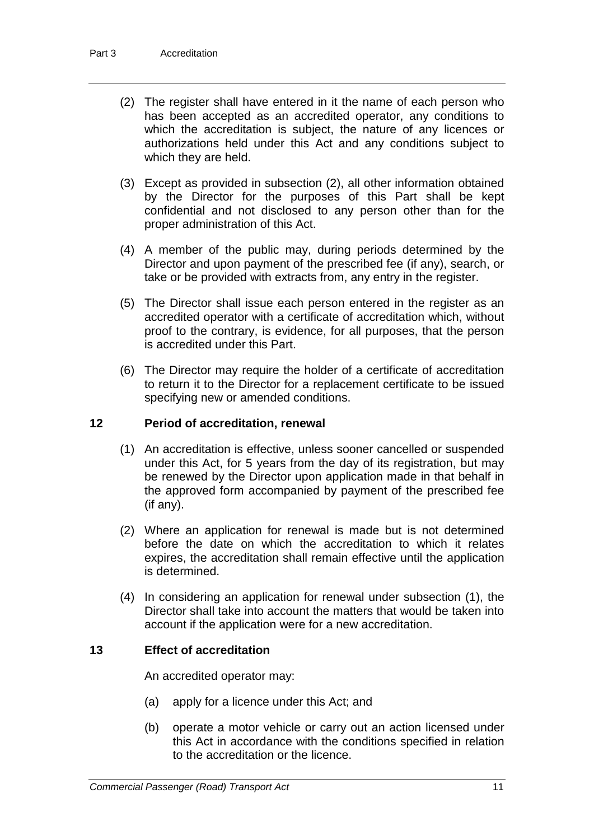- (2) The register shall have entered in it the name of each person who has been accepted as an accredited operator, any conditions to which the accreditation is subject, the nature of any licences or authorizations held under this Act and any conditions subject to which they are held.
- (3) Except as provided in subsection (2), all other information obtained by the Director for the purposes of this Part shall be kept confidential and not disclosed to any person other than for the proper administration of this Act.
- (4) A member of the public may, during periods determined by the Director and upon payment of the prescribed fee (if any), search, or take or be provided with extracts from, any entry in the register.
- (5) The Director shall issue each person entered in the register as an accredited operator with a certificate of accreditation which, without proof to the contrary, is evidence, for all purposes, that the person is accredited under this Part.
- (6) The Director may require the holder of a certificate of accreditation to return it to the Director for a replacement certificate to be issued specifying new or amended conditions.

## **12 Period of accreditation, renewal**

- (1) An accreditation is effective, unless sooner cancelled or suspended under this Act, for 5 years from the day of its registration, but may be renewed by the Director upon application made in that behalf in the approved form accompanied by payment of the prescribed fee (if any).
- (2) Where an application for renewal is made but is not determined before the date on which the accreditation to which it relates expires, the accreditation shall remain effective until the application is determined.
- (4) In considering an application for renewal under subsection (1), the Director shall take into account the matters that would be taken into account if the application were for a new accreditation.

## **13 Effect of accreditation**

An accredited operator may:

- (a) apply for a licence under this Act; and
- (b) operate a motor vehicle or carry out an action licensed under this Act in accordance with the conditions specified in relation to the accreditation or the licence.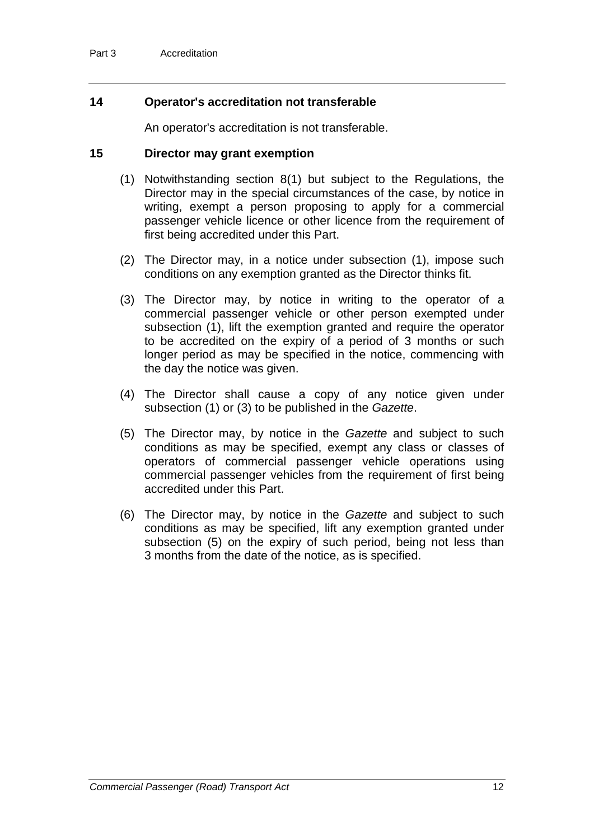## **14 Operator's accreditation not transferable**

An operator's accreditation is not transferable.

### **15 Director may grant exemption**

- (1) Notwithstanding section 8(1) but subject to the Regulations, the Director may in the special circumstances of the case, by notice in writing, exempt a person proposing to apply for a commercial passenger vehicle licence or other licence from the requirement of first being accredited under this Part.
- (2) The Director may, in a notice under subsection (1), impose such conditions on any exemption granted as the Director thinks fit.
- (3) The Director may, by notice in writing to the operator of a commercial passenger vehicle or other person exempted under subsection (1), lift the exemption granted and require the operator to be accredited on the expiry of a period of 3 months or such longer period as may be specified in the notice, commencing with the day the notice was given.
- (4) The Director shall cause a copy of any notice given under subsection (1) or (3) to be published in the *Gazette*.
- (5) The Director may, by notice in the *Gazette* and subject to such conditions as may be specified, exempt any class or classes of operators of commercial passenger vehicle operations using commercial passenger vehicles from the requirement of first being accredited under this Part.
- (6) The Director may, by notice in the *Gazette* and subject to such conditions as may be specified, lift any exemption granted under subsection (5) on the expiry of such period, being not less than 3 months from the date of the notice, as is specified.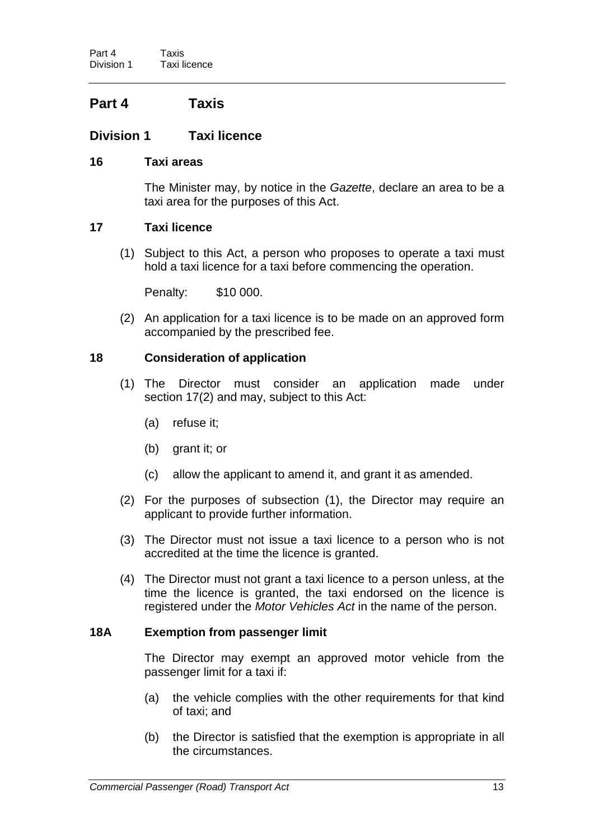## **Part 4 Taxis**

## **Division 1 Taxi licence**

## **16 Taxi areas**

The Minister may, by notice in the *Gazette*, declare an area to be a taxi area for the purposes of this Act.

### **17 Taxi licence**

(1) Subject to this Act, a person who proposes to operate a taxi must hold a taxi licence for a taxi before commencing the operation.

Penalty: \$10 000.

(2) An application for a taxi licence is to be made on an approved form accompanied by the prescribed fee.

## **18 Consideration of application**

- (1) The Director must consider an application made under section 17(2) and may, subject to this Act:
	- (a) refuse it;
	- (b) grant it; or
	- (c) allow the applicant to amend it, and grant it as amended.
- (2) For the purposes of subsection (1), the Director may require an applicant to provide further information.
- (3) The Director must not issue a taxi licence to a person who is not accredited at the time the licence is granted.
- (4) The Director must not grant a taxi licence to a person unless, at the time the licence is granted, the taxi endorsed on the licence is registered under the *Motor Vehicles Act* in the name of the person.

### **18A Exemption from passenger limit**

The Director may exempt an approved motor vehicle from the passenger limit for a taxi if:

- (a) the vehicle complies with the other requirements for that kind of taxi; and
- (b) the Director is satisfied that the exemption is appropriate in all the circumstances.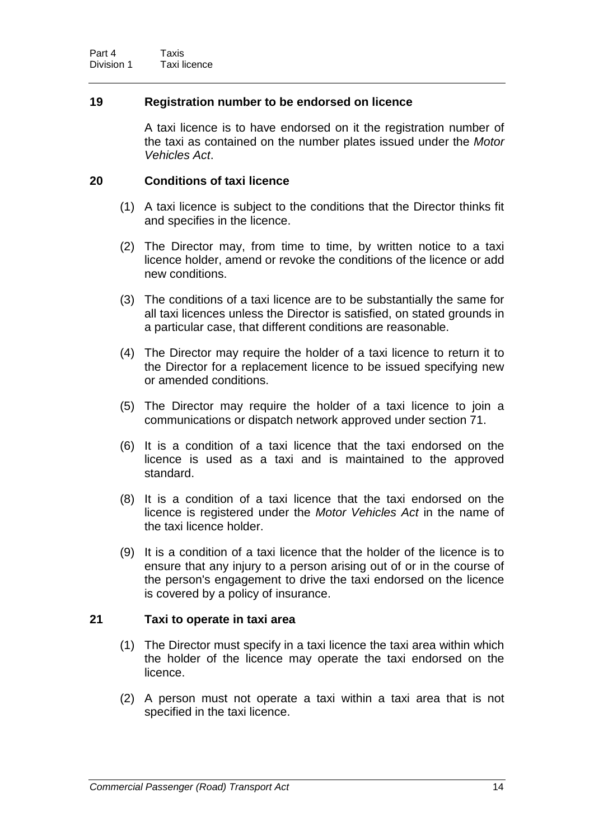## **19 Registration number to be endorsed on licence**

A taxi licence is to have endorsed on it the registration number of the taxi as contained on the number plates issued under the *Motor Vehicles Act*.

### **20 Conditions of taxi licence**

- (1) A taxi licence is subject to the conditions that the Director thinks fit and specifies in the licence.
- (2) The Director may, from time to time, by written notice to a taxi licence holder, amend or revoke the conditions of the licence or add new conditions.
- (3) The conditions of a taxi licence are to be substantially the same for all taxi licences unless the Director is satisfied, on stated grounds in a particular case, that different conditions are reasonable.
- (4) The Director may require the holder of a taxi licence to return it to the Director for a replacement licence to be issued specifying new or amended conditions.
- (5) The Director may require the holder of a taxi licence to join a communications or dispatch network approved under section 71.
- (6) It is a condition of a taxi licence that the taxi endorsed on the licence is used as a taxi and is maintained to the approved standard.
- (8) It is a condition of a taxi licence that the taxi endorsed on the licence is registered under the *Motor Vehicles Act* in the name of the taxi licence holder.
- (9) It is a condition of a taxi licence that the holder of the licence is to ensure that any injury to a person arising out of or in the course of the person's engagement to drive the taxi endorsed on the licence is covered by a policy of insurance.

## **21 Taxi to operate in taxi area**

- (1) The Director must specify in a taxi licence the taxi area within which the holder of the licence may operate the taxi endorsed on the licence.
- (2) A person must not operate a taxi within a taxi area that is not specified in the taxi licence.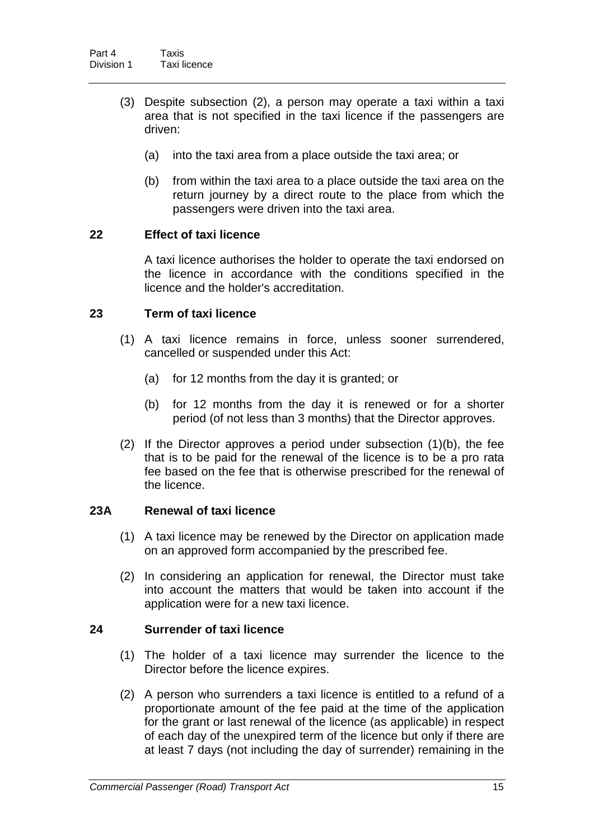- (3) Despite subsection (2), a person may operate a taxi within a taxi area that is not specified in the taxi licence if the passengers are driven:
	- (a) into the taxi area from a place outside the taxi area; or
	- (b) from within the taxi area to a place outside the taxi area on the return journey by a direct route to the place from which the passengers were driven into the taxi area.

## **22 Effect of taxi licence**

A taxi licence authorises the holder to operate the taxi endorsed on the licence in accordance with the conditions specified in the licence and the holder's accreditation.

## **23 Term of taxi licence**

- (1) A taxi licence remains in force, unless sooner surrendered, cancelled or suspended under this Act:
	- (a) for 12 months from the day it is granted; or
	- (b) for 12 months from the day it is renewed or for a shorter period (of not less than 3 months) that the Director approves.
- (2) If the Director approves a period under subsection (1)(b), the fee that is to be paid for the renewal of the licence is to be a pro rata fee based on the fee that is otherwise prescribed for the renewal of the licence.

## **23A Renewal of taxi licence**

- (1) A taxi licence may be renewed by the Director on application made on an approved form accompanied by the prescribed fee.
- (2) In considering an application for renewal, the Director must take into account the matters that would be taken into account if the application were for a new taxi licence.

## **24 Surrender of taxi licence**

- (1) The holder of a taxi licence may surrender the licence to the Director before the licence expires.
- (2) A person who surrenders a taxi licence is entitled to a refund of a proportionate amount of the fee paid at the time of the application for the grant or last renewal of the licence (as applicable) in respect of each day of the unexpired term of the licence but only if there are at least 7 days (not including the day of surrender) remaining in the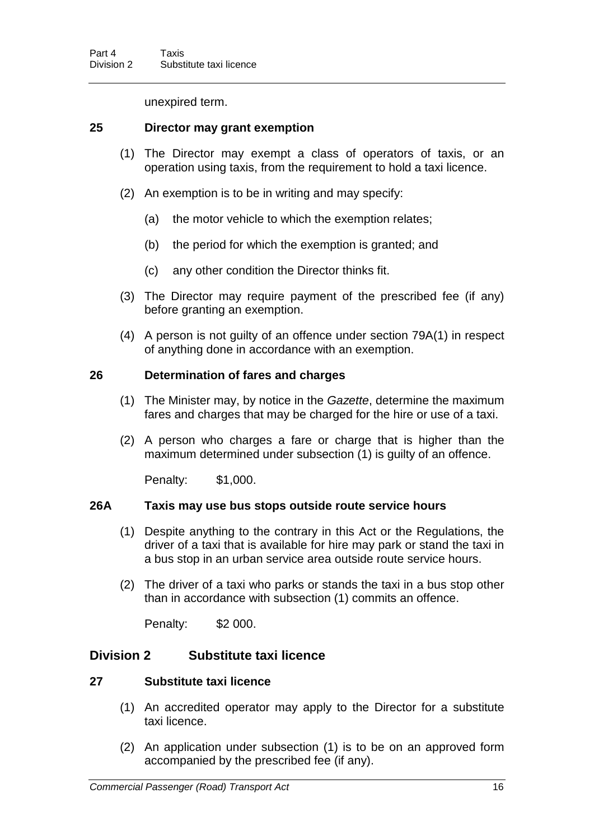unexpired term.

### **25 Director may grant exemption**

- (1) The Director may exempt a class of operators of taxis, or an operation using taxis, from the requirement to hold a taxi licence.
- (2) An exemption is to be in writing and may specify:
	- (a) the motor vehicle to which the exemption relates;
	- (b) the period for which the exemption is granted; and
	- (c) any other condition the Director thinks fit.
- (3) The Director may require payment of the prescribed fee (if any) before granting an exemption.
- (4) A person is not guilty of an offence under section 79A(1) in respect of anything done in accordance with an exemption.

### **26 Determination of fares and charges**

- (1) The Minister may, by notice in the *Gazette*, determine the maximum fares and charges that may be charged for the hire or use of a taxi.
- (2) A person who charges a fare or charge that is higher than the maximum determined under subsection (1) is guilty of an offence.

Penalty: \$1,000.

#### **26A Taxis may use bus stops outside route service hours**

- (1) Despite anything to the contrary in this Act or the Regulations, the driver of a taxi that is available for hire may park or stand the taxi in a bus stop in an urban service area outside route service hours.
- (2) The driver of a taxi who parks or stands the taxi in a bus stop other than in accordance with subsection (1) commits an offence.

Penalty: \$2 000.

## **Division 2 Substitute taxi licence**

#### **27 Substitute taxi licence**

- (1) An accredited operator may apply to the Director for a substitute taxi licence.
- (2) An application under subsection (1) is to be on an approved form accompanied by the prescribed fee (if any).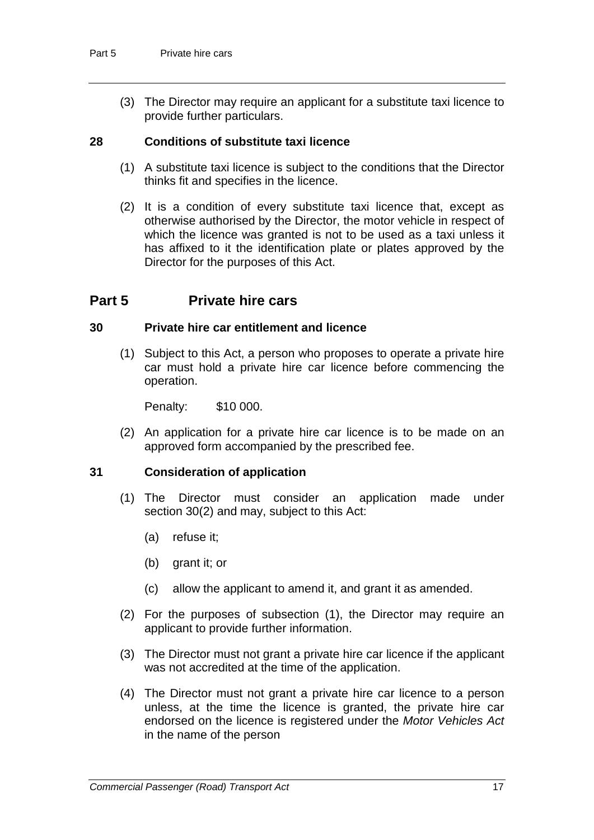(3) The Director may require an applicant for a substitute taxi licence to provide further particulars.

## **28 Conditions of substitute taxi licence**

- (1) A substitute taxi licence is subject to the conditions that the Director thinks fit and specifies in the licence.
- (2) It is a condition of every substitute taxi licence that, except as otherwise authorised by the Director, the motor vehicle in respect of which the licence was granted is not to be used as a taxi unless it has affixed to it the identification plate or plates approved by the Director for the purposes of this Act.

## **Part 5 Private hire cars**

### **30 Private hire car entitlement and licence**

(1) Subject to this Act, a person who proposes to operate a private hire car must hold a private hire car licence before commencing the operation.

Penalty: \$10 000.

(2) An application for a private hire car licence is to be made on an approved form accompanied by the prescribed fee.

## **31 Consideration of application**

- (1) The Director must consider an application made under section 30(2) and may, subject to this Act:
	- (a) refuse it;
	- (b) grant it; or
	- (c) allow the applicant to amend it, and grant it as amended.
- (2) For the purposes of subsection (1), the Director may require an applicant to provide further information.
- (3) The Director must not grant a private hire car licence if the applicant was not accredited at the time of the application.
- (4) The Director must not grant a private hire car licence to a person unless, at the time the licence is granted, the private hire car endorsed on the licence is registered under the *Motor Vehicles Act* in the name of the person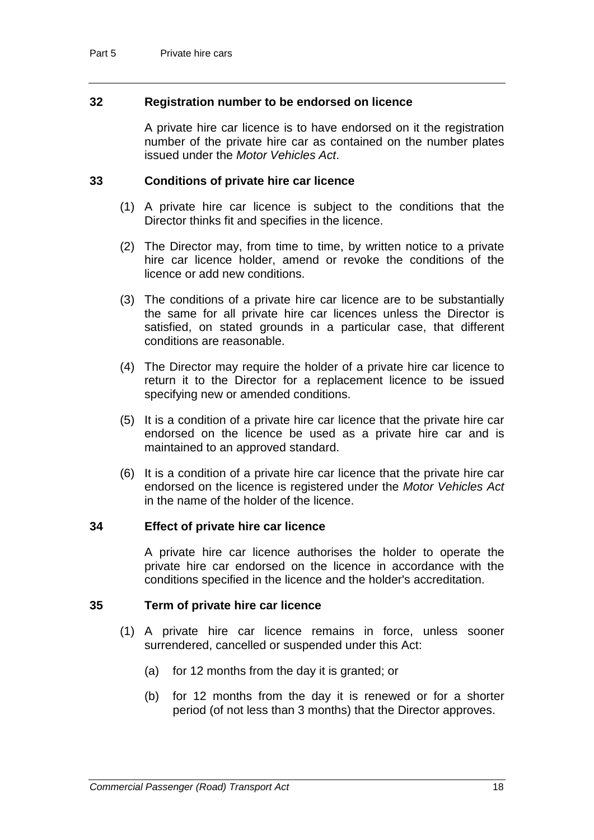## **32 Registration number to be endorsed on licence**

A private hire car licence is to have endorsed on it the registration number of the private hire car as contained on the number plates issued under the *Motor Vehicles Act*.

### **33 Conditions of private hire car licence**

- (1) A private hire car licence is subject to the conditions that the Director thinks fit and specifies in the licence.
- (2) The Director may, from time to time, by written notice to a private hire car licence holder, amend or revoke the conditions of the licence or add new conditions.
- (3) The conditions of a private hire car licence are to be substantially the same for all private hire car licences unless the Director is satisfied, on stated grounds in a particular case, that different conditions are reasonable.
- (4) The Director may require the holder of a private hire car licence to return it to the Director for a replacement licence to be issued specifying new or amended conditions.
- (5) It is a condition of a private hire car licence that the private hire car endorsed on the licence be used as a private hire car and is maintained to an approved standard.
- (6) It is a condition of a private hire car licence that the private hire car endorsed on the licence is registered under the *Motor Vehicles Act* in the name of the holder of the licence.

#### **34 Effect of private hire car licence**

A private hire car licence authorises the holder to operate the private hire car endorsed on the licence in accordance with the conditions specified in the licence and the holder's accreditation.

#### **35 Term of private hire car licence**

- (1) A private hire car licence remains in force, unless sooner surrendered, cancelled or suspended under this Act:
	- (a) for 12 months from the day it is granted; or
	- (b) for 12 months from the day it is renewed or for a shorter period (of not less than 3 months) that the Director approves.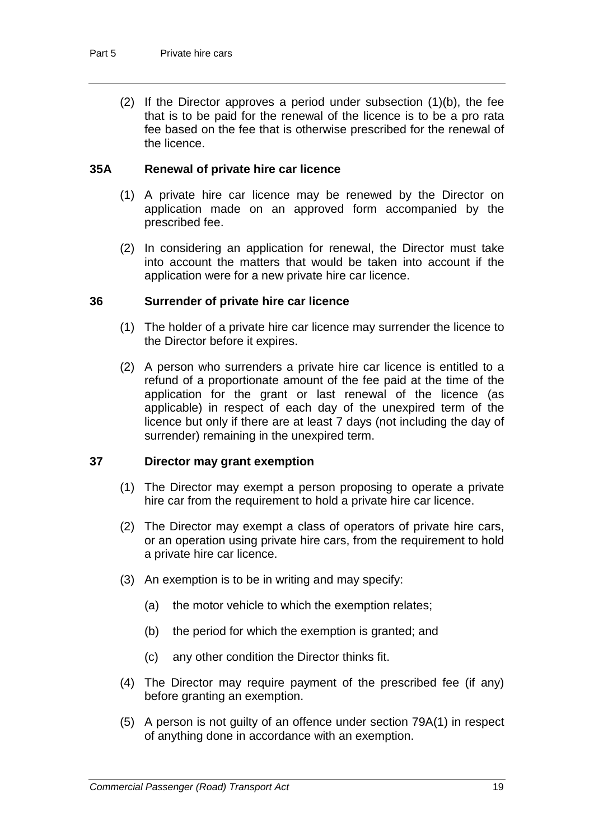(2) If the Director approves a period under subsection (1)(b), the fee that is to be paid for the renewal of the licence is to be a pro rata fee based on the fee that is otherwise prescribed for the renewal of the licence.

## **35A Renewal of private hire car licence**

- (1) A private hire car licence may be renewed by the Director on application made on an approved form accompanied by the prescribed fee.
- (2) In considering an application for renewal, the Director must take into account the matters that would be taken into account if the application were for a new private hire car licence.

### **36 Surrender of private hire car licence**

- (1) The holder of a private hire car licence may surrender the licence to the Director before it expires.
- (2) A person who surrenders a private hire car licence is entitled to a refund of a proportionate amount of the fee paid at the time of the application for the grant or last renewal of the licence (as applicable) in respect of each day of the unexpired term of the licence but only if there are at least 7 days (not including the day of surrender) remaining in the unexpired term.

#### **37 Director may grant exemption**

- (1) The Director may exempt a person proposing to operate a private hire car from the requirement to hold a private hire car licence.
- (2) The Director may exempt a class of operators of private hire cars, or an operation using private hire cars, from the requirement to hold a private hire car licence.
- (3) An exemption is to be in writing and may specify:
	- (a) the motor vehicle to which the exemption relates;
	- (b) the period for which the exemption is granted; and
	- (c) any other condition the Director thinks fit.
- (4) The Director may require payment of the prescribed fee (if any) before granting an exemption.
- (5) A person is not guilty of an offence under section 79A(1) in respect of anything done in accordance with an exemption.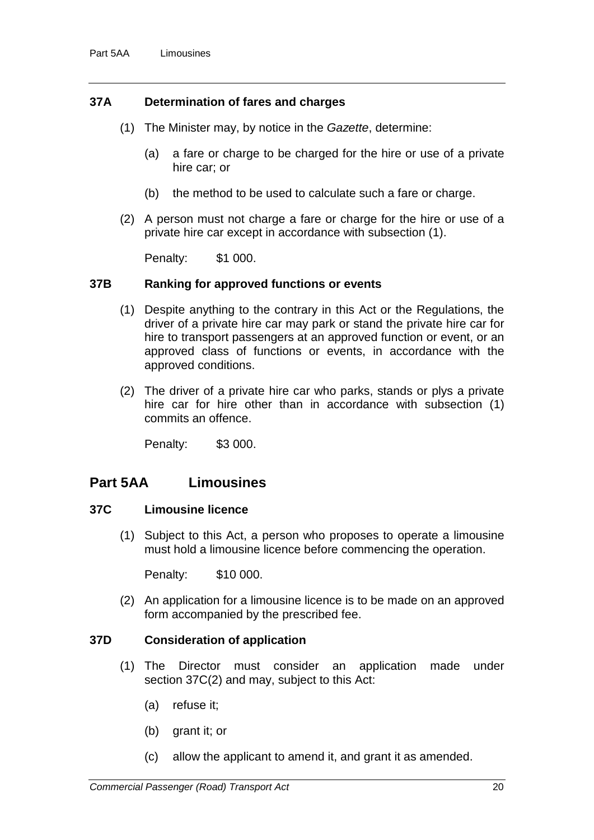#### **37A Determination of fares and charges**

- (1) The Minister may, by notice in the *Gazette*, determine:
	- (a) a fare or charge to be charged for the hire or use of a private hire car; or
	- (b) the method to be used to calculate such a fare or charge.
- (2) A person must not charge a fare or charge for the hire or use of a private hire car except in accordance with subsection (1).

Penalty: \$1 000.

#### **37B Ranking for approved functions or events**

- (1) Despite anything to the contrary in this Act or the Regulations, the driver of a private hire car may park or stand the private hire car for hire to transport passengers at an approved function or event, or an approved class of functions or events, in accordance with the approved conditions.
- (2) The driver of a private hire car who parks, stands or plys a private hire car for hire other than in accordance with subsection (1) commits an offence.

Penalty: \$3 000.

## **Part 5AA Limousines**

## **37C Limousine licence**

(1) Subject to this Act, a person who proposes to operate a limousine must hold a limousine licence before commencing the operation.

Penalty: \$10 000.

(2) An application for a limousine licence is to be made on an approved form accompanied by the prescribed fee.

#### **37D Consideration of application**

- (1) The Director must consider an application made under section 37C(2) and may, subject to this Act:
	- (a) refuse it;
	- (b) grant it; or
	- (c) allow the applicant to amend it, and grant it as amended.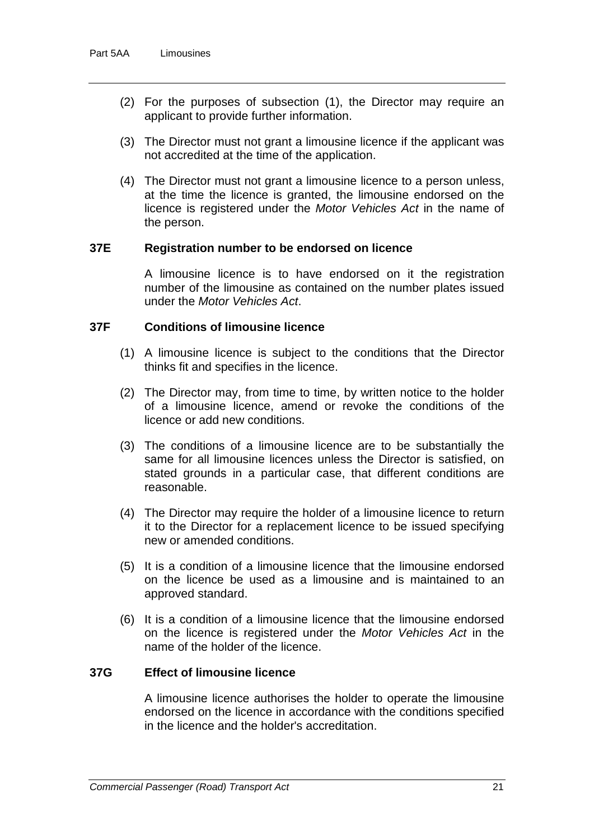- (2) For the purposes of subsection (1), the Director may require an applicant to provide further information.
- (3) The Director must not grant a limousine licence if the applicant was not accredited at the time of the application.
- (4) The Director must not grant a limousine licence to a person unless, at the time the licence is granted, the limousine endorsed on the licence is registered under the *Motor Vehicles Act* in the name of the person.

#### **37E Registration number to be endorsed on licence**

A limousine licence is to have endorsed on it the registration number of the limousine as contained on the number plates issued under the *Motor Vehicles Act*.

## **37F Conditions of limousine licence**

- (1) A limousine licence is subject to the conditions that the Director thinks fit and specifies in the licence.
- (2) The Director may, from time to time, by written notice to the holder of a limousine licence, amend or revoke the conditions of the licence or add new conditions.
- (3) The conditions of a limousine licence are to be substantially the same for all limousine licences unless the Director is satisfied, on stated grounds in a particular case, that different conditions are reasonable.
- (4) The Director may require the holder of a limousine licence to return it to the Director for a replacement licence to be issued specifying new or amended conditions.
- (5) It is a condition of a limousine licence that the limousine endorsed on the licence be used as a limousine and is maintained to an approved standard.
- (6) It is a condition of a limousine licence that the limousine endorsed on the licence is registered under the *Motor Vehicles Act* in the name of the holder of the licence.

## **37G Effect of limousine licence**

A limousine licence authorises the holder to operate the limousine endorsed on the licence in accordance with the conditions specified in the licence and the holder's accreditation.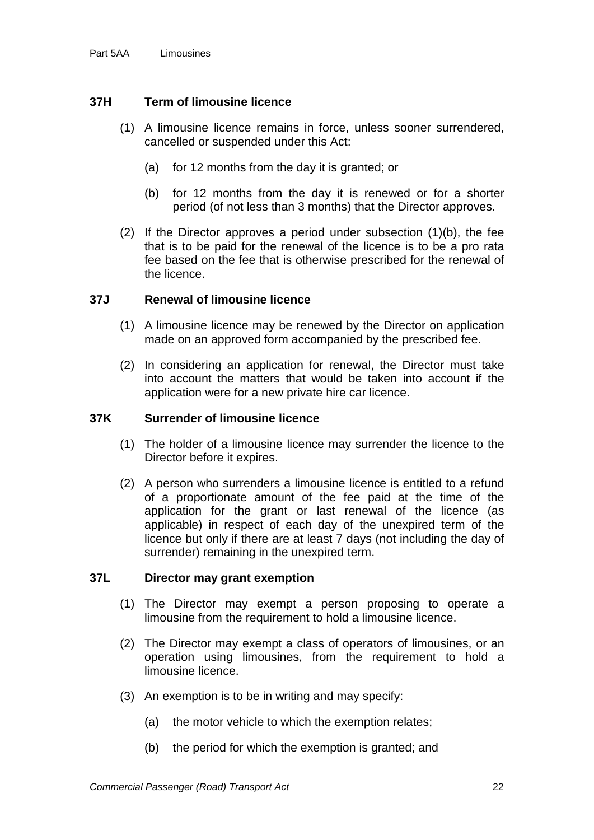#### **37H Term of limousine licence**

- (1) A limousine licence remains in force, unless sooner surrendered, cancelled or suspended under this Act:
	- (a) for 12 months from the day it is granted; or
	- (b) for 12 months from the day it is renewed or for a shorter period (of not less than 3 months) that the Director approves.
- (2) If the Director approves a period under subsection (1)(b), the fee that is to be paid for the renewal of the licence is to be a pro rata fee based on the fee that is otherwise prescribed for the renewal of the licence.

#### **37J Renewal of limousine licence**

- (1) A limousine licence may be renewed by the Director on application made on an approved form accompanied by the prescribed fee.
- (2) In considering an application for renewal, the Director must take into account the matters that would be taken into account if the application were for a new private hire car licence.

#### **37K Surrender of limousine licence**

- (1) The holder of a limousine licence may surrender the licence to the Director before it expires.
- (2) A person who surrenders a limousine licence is entitled to a refund of a proportionate amount of the fee paid at the time of the application for the grant or last renewal of the licence (as applicable) in respect of each day of the unexpired term of the licence but only if there are at least 7 days (not including the day of surrender) remaining in the unexpired term.

#### **37L Director may grant exemption**

- (1) The Director may exempt a person proposing to operate a limousine from the requirement to hold a limousine licence.
- (2) The Director may exempt a class of operators of limousines, or an operation using limousines, from the requirement to hold a limousine licence.
- (3) An exemption is to be in writing and may specify:
	- (a) the motor vehicle to which the exemption relates;
	- (b) the period for which the exemption is granted; and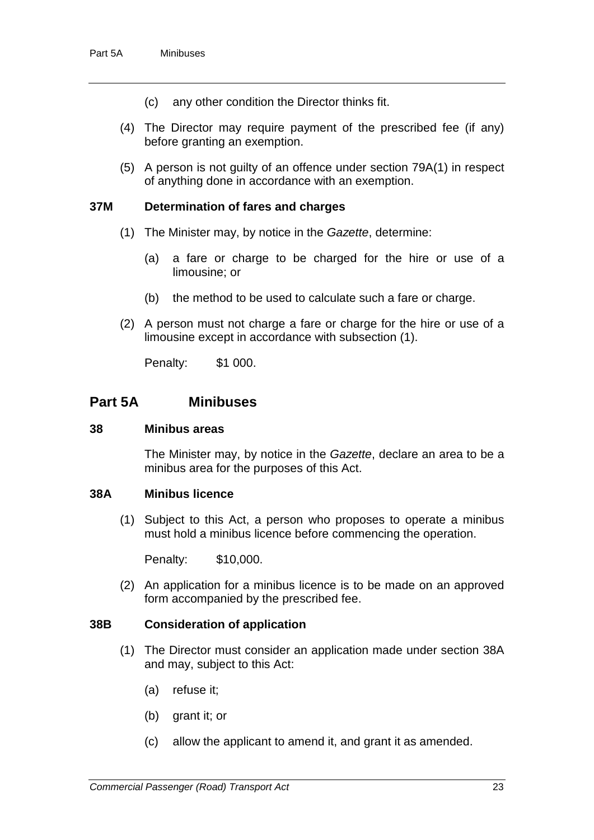- (c) any other condition the Director thinks fit.
- (4) The Director may require payment of the prescribed fee (if any) before granting an exemption.
- (5) A person is not guilty of an offence under section 79A(1) in respect of anything done in accordance with an exemption.

#### **37M Determination of fares and charges**

- (1) The Minister may, by notice in the *Gazette*, determine:
	- (a) a fare or charge to be charged for the hire or use of a limousine; or
	- (b) the method to be used to calculate such a fare or charge.
- (2) A person must not charge a fare or charge for the hire or use of a limousine except in accordance with subsection (1).

Penalty: \$1 000.

## **Part 5A Minibuses**

#### **38 Minibus areas**

The Minister may, by notice in the *Gazette*, declare an area to be a minibus area for the purposes of this Act.

#### **38A Minibus licence**

(1) Subject to this Act, a person who proposes to operate a minibus must hold a minibus licence before commencing the operation.

Penalty: \$10,000.

(2) An application for a minibus licence is to be made on an approved form accompanied by the prescribed fee.

#### **38B Consideration of application**

- (1) The Director must consider an application made under section 38A and may, subject to this Act:
	- (a) refuse it;
	- (b) grant it; or
	- (c) allow the applicant to amend it, and grant it as amended.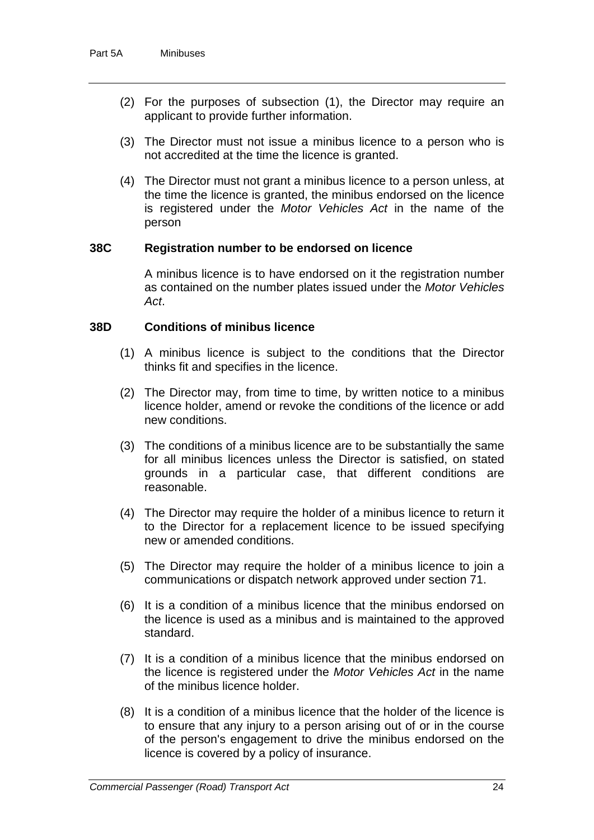- (2) For the purposes of subsection (1), the Director may require an applicant to provide further information.
- (3) The Director must not issue a minibus licence to a person who is not accredited at the time the licence is granted.
- (4) The Director must not grant a minibus licence to a person unless, at the time the licence is granted, the minibus endorsed on the licence is registered under the *Motor Vehicles Act* in the name of the person

#### **38C Registration number to be endorsed on licence**

A minibus licence is to have endorsed on it the registration number as contained on the number plates issued under the *Motor Vehicles Act*.

## **38D Conditions of minibus licence**

- (1) A minibus licence is subject to the conditions that the Director thinks fit and specifies in the licence.
- (2) The Director may, from time to time, by written notice to a minibus licence holder, amend or revoke the conditions of the licence or add new conditions.
- (3) The conditions of a minibus licence are to be substantially the same for all minibus licences unless the Director is satisfied, on stated grounds in a particular case, that different conditions are reasonable.
- (4) The Director may require the holder of a minibus licence to return it to the Director for a replacement licence to be issued specifying new or amended conditions.
- (5) The Director may require the holder of a minibus licence to join a communications or dispatch network approved under section 71.
- (6) It is a condition of a minibus licence that the minibus endorsed on the licence is used as a minibus and is maintained to the approved standard.
- (7) It is a condition of a minibus licence that the minibus endorsed on the licence is registered under the *Motor Vehicles Act* in the name of the minibus licence holder.
- (8) It is a condition of a minibus licence that the holder of the licence is to ensure that any injury to a person arising out of or in the course of the person's engagement to drive the minibus endorsed on the licence is covered by a policy of insurance.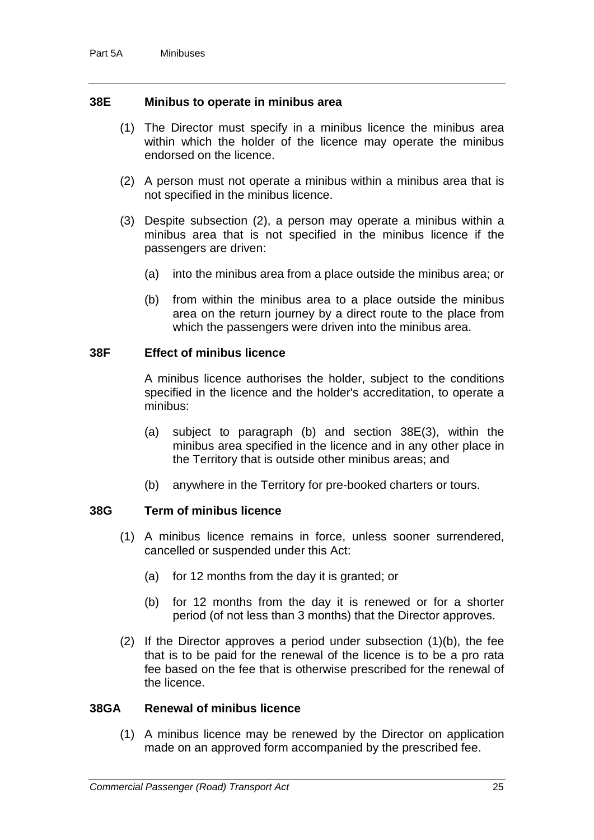#### **38E Minibus to operate in minibus area**

- (1) The Director must specify in a minibus licence the minibus area within which the holder of the licence may operate the minibus endorsed on the licence.
- (2) A person must not operate a minibus within a minibus area that is not specified in the minibus licence.
- (3) Despite subsection (2), a person may operate a minibus within a minibus area that is not specified in the minibus licence if the passengers are driven:
	- (a) into the minibus area from a place outside the minibus area; or
	- (b) from within the minibus area to a place outside the minibus area on the return journey by a direct route to the place from which the passengers were driven into the minibus area.

### **38F Effect of minibus licence**

A minibus licence authorises the holder, subject to the conditions specified in the licence and the holder's accreditation, to operate a minibus:

- (a) subject to paragraph (b) and section 38E(3), within the minibus area specified in the licence and in any other place in the Territory that is outside other minibus areas; and
- (b) anywhere in the Territory for pre-booked charters or tours.

## **38G Term of minibus licence**

- (1) A minibus licence remains in force, unless sooner surrendered, cancelled or suspended under this Act:
	- (a) for 12 months from the day it is granted; or
	- (b) for 12 months from the day it is renewed or for a shorter period (of not less than 3 months) that the Director approves.
- (2) If the Director approves a period under subsection (1)(b), the fee that is to be paid for the renewal of the licence is to be a pro rata fee based on the fee that is otherwise prescribed for the renewal of the licence.

#### **38GA Renewal of minibus licence**

(1) A minibus licence may be renewed by the Director on application made on an approved form accompanied by the prescribed fee.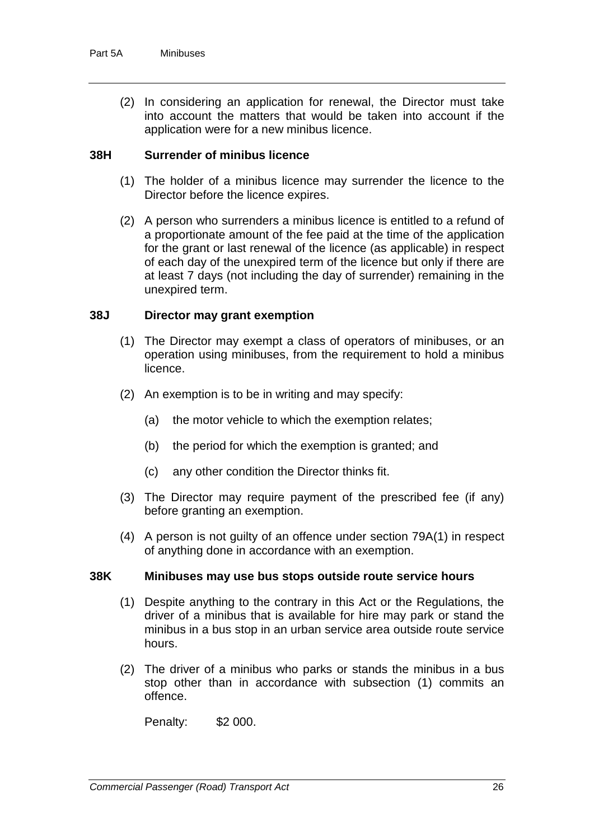(2) In considering an application for renewal, the Director must take into account the matters that would be taken into account if the application were for a new minibus licence.

## **38H Surrender of minibus licence**

- (1) The holder of a minibus licence may surrender the licence to the Director before the licence expires.
- (2) A person who surrenders a minibus licence is entitled to a refund of a proportionate amount of the fee paid at the time of the application for the grant or last renewal of the licence (as applicable) in respect of each day of the unexpired term of the licence but only if there are at least 7 days (not including the day of surrender) remaining in the unexpired term.

### **38J Director may grant exemption**

- (1) The Director may exempt a class of operators of minibuses, or an operation using minibuses, from the requirement to hold a minibus licence.
- (2) An exemption is to be in writing and may specify:
	- (a) the motor vehicle to which the exemption relates;
	- (b) the period for which the exemption is granted; and
	- (c) any other condition the Director thinks fit.
- (3) The Director may require payment of the prescribed fee (if any) before granting an exemption.
- (4) A person is not guilty of an offence under section 79A(1) in respect of anything done in accordance with an exemption.

#### **38K Minibuses may use bus stops outside route service hours**

- (1) Despite anything to the contrary in this Act or the Regulations, the driver of a minibus that is available for hire may park or stand the minibus in a bus stop in an urban service area outside route service hours.
- (2) The driver of a minibus who parks or stands the minibus in a bus stop other than in accordance with subsection (1) commits an offence.

Penalty: \$2 000.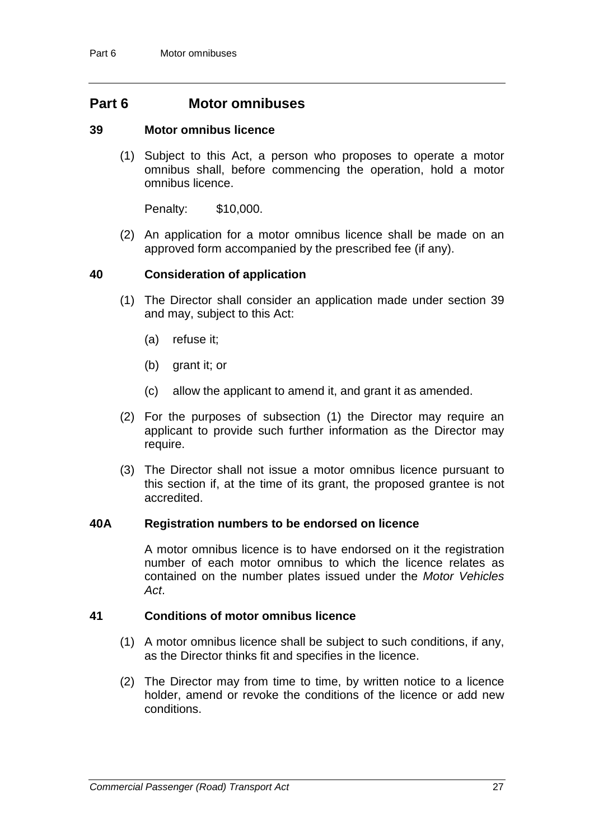## **Part 6 Motor omnibuses**

#### **39 Motor omnibus licence**

(1) Subject to this Act, a person who proposes to operate a motor omnibus shall, before commencing the operation, hold a motor omnibus licence.

Penalty: \$10,000.

(2) An application for a motor omnibus licence shall be made on an approved form accompanied by the prescribed fee (if any).

#### **40 Consideration of application**

- (1) The Director shall consider an application made under section 39 and may, subject to this Act:
	- (a) refuse it;
	- (b) grant it; or
	- (c) allow the applicant to amend it, and grant it as amended.
- (2) For the purposes of subsection (1) the Director may require an applicant to provide such further information as the Director may require.
- (3) The Director shall not issue a motor omnibus licence pursuant to this section if, at the time of its grant, the proposed grantee is not accredited.

#### **40A Registration numbers to be endorsed on licence**

A motor omnibus licence is to have endorsed on it the registration number of each motor omnibus to which the licence relates as contained on the number plates issued under the *Motor Vehicles Act*.

#### **41 Conditions of motor omnibus licence**

- (1) A motor omnibus licence shall be subject to such conditions, if any, as the Director thinks fit and specifies in the licence.
- (2) The Director may from time to time, by written notice to a licence holder, amend or revoke the conditions of the licence or add new conditions.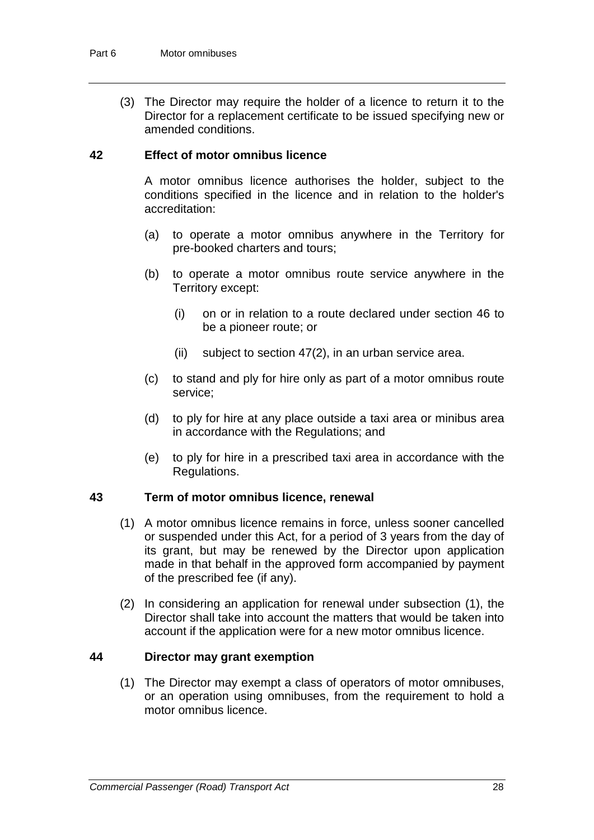(3) The Director may require the holder of a licence to return it to the Director for a replacement certificate to be issued specifying new or amended conditions.

#### **42 Effect of motor omnibus licence**

A motor omnibus licence authorises the holder, subject to the conditions specified in the licence and in relation to the holder's accreditation:

- (a) to operate a motor omnibus anywhere in the Territory for pre-booked charters and tours;
- (b) to operate a motor omnibus route service anywhere in the Territory except:
	- (i) on or in relation to a route declared under section 46 to be a pioneer route; or
	- (ii) subject to section 47(2), in an urban service area.
- (c) to stand and ply for hire only as part of a motor omnibus route service;
- (d) to ply for hire at any place outside a taxi area or minibus area in accordance with the Regulations; and
- (e) to ply for hire in a prescribed taxi area in accordance with the Regulations.

#### **43 Term of motor omnibus licence, renewal**

- (1) A motor omnibus licence remains in force, unless sooner cancelled or suspended under this Act, for a period of 3 years from the day of its grant, but may be renewed by the Director upon application made in that behalf in the approved form accompanied by payment of the prescribed fee (if any).
- (2) In considering an application for renewal under subsection (1), the Director shall take into account the matters that would be taken into account if the application were for a new motor omnibus licence.

#### **44 Director may grant exemption**

(1) The Director may exempt a class of operators of motor omnibuses, or an operation using omnibuses, from the requirement to hold a motor omnibus licence.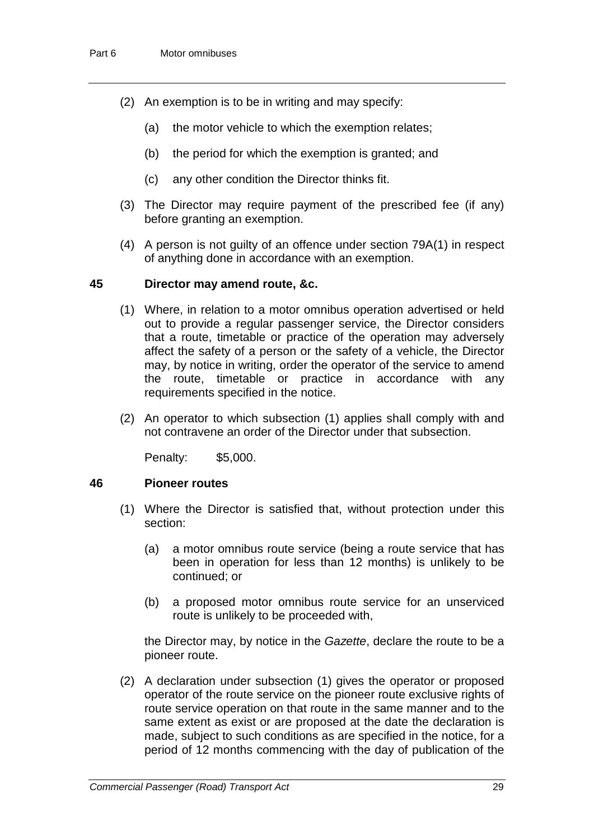- (2) An exemption is to be in writing and may specify:
	- (a) the motor vehicle to which the exemption relates;
	- (b) the period for which the exemption is granted; and
	- (c) any other condition the Director thinks fit.
- (3) The Director may require payment of the prescribed fee (if any) before granting an exemption.
- (4) A person is not guilty of an offence under section 79A(1) in respect of anything done in accordance with an exemption.

#### **45 Director may amend route, &c.**

- (1) Where, in relation to a motor omnibus operation advertised or held out to provide a regular passenger service, the Director considers that a route, timetable or practice of the operation may adversely affect the safety of a person or the safety of a vehicle, the Director may, by notice in writing, order the operator of the service to amend the route, timetable or practice in accordance with any requirements specified in the notice.
- (2) An operator to which subsection (1) applies shall comply with and not contravene an order of the Director under that subsection.

Penalty: \$5,000.

#### **46 Pioneer routes**

- (1) Where the Director is satisfied that, without protection under this section:
	- (a) a motor omnibus route service (being a route service that has been in operation for less than 12 months) is unlikely to be continued; or
	- (b) a proposed motor omnibus route service for an unserviced route is unlikely to be proceeded with,

the Director may, by notice in the *Gazette*, declare the route to be a pioneer route.

(2) A declaration under subsection (1) gives the operator or proposed operator of the route service on the pioneer route exclusive rights of route service operation on that route in the same manner and to the same extent as exist or are proposed at the date the declaration is made, subject to such conditions as are specified in the notice, for a period of 12 months commencing with the day of publication of the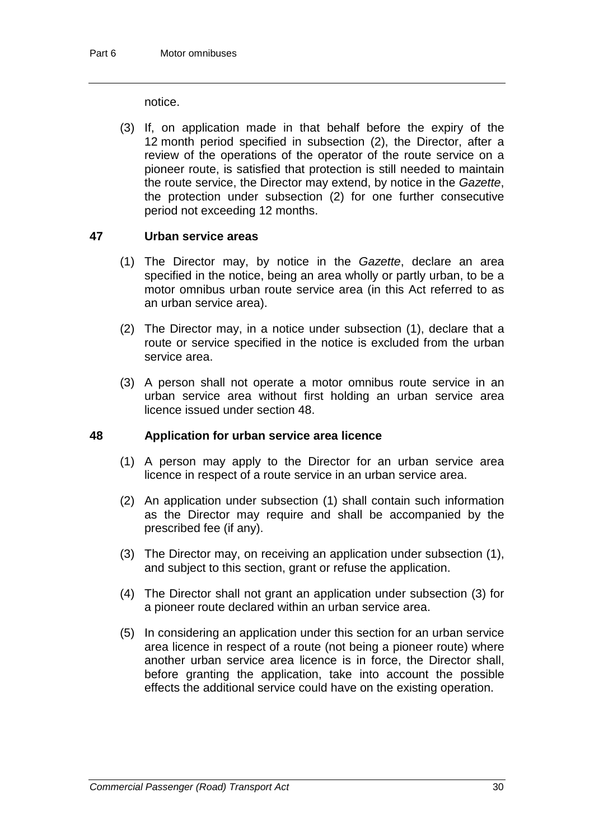notice.

(3) If, on application made in that behalf before the expiry of the 12 month period specified in subsection (2), the Director, after a review of the operations of the operator of the route service on a pioneer route, is satisfied that protection is still needed to maintain the route service, the Director may extend, by notice in the *Gazette*, the protection under subsection (2) for one further consecutive period not exceeding 12 months.

## **47 Urban service areas**

- (1) The Director may, by notice in the *Gazette*, declare an area specified in the notice, being an area wholly or partly urban, to be a motor omnibus urban route service area (in this Act referred to as an urban service area).
- (2) The Director may, in a notice under subsection (1), declare that a route or service specified in the notice is excluded from the urban service area.
- (3) A person shall not operate a motor omnibus route service in an urban service area without first holding an urban service area licence issued under section 48.

## **48 Application for urban service area licence**

- (1) A person may apply to the Director for an urban service area licence in respect of a route service in an urban service area.
- (2) An application under subsection (1) shall contain such information as the Director may require and shall be accompanied by the prescribed fee (if any).
- (3) The Director may, on receiving an application under subsection (1), and subject to this section, grant or refuse the application.
- (4) The Director shall not grant an application under subsection (3) for a pioneer route declared within an urban service area.
- (5) In considering an application under this section for an urban service area licence in respect of a route (not being a pioneer route) where another urban service area licence is in force, the Director shall, before granting the application, take into account the possible effects the additional service could have on the existing operation.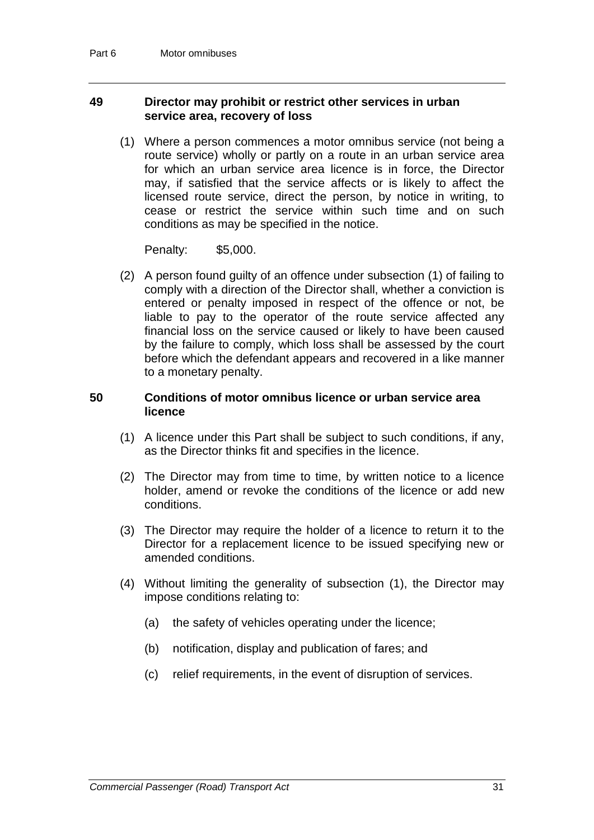### **49 Director may prohibit or restrict other services in urban service area, recovery of loss**

(1) Where a person commences a motor omnibus service (not being a route service) wholly or partly on a route in an urban service area for which an urban service area licence is in force, the Director may, if satisfied that the service affects or is likely to affect the licensed route service, direct the person, by notice in writing, to cease or restrict the service within such time and on such conditions as may be specified in the notice.

Penalty: \$5,000.

(2) A person found guilty of an offence under subsection (1) of failing to comply with a direction of the Director shall, whether a conviction is entered or penalty imposed in respect of the offence or not, be liable to pay to the operator of the route service affected any financial loss on the service caused or likely to have been caused by the failure to comply, which loss shall be assessed by the court before which the defendant appears and recovered in a like manner to a monetary penalty.

## **50 Conditions of motor omnibus licence or urban service area licence**

- (1) A licence under this Part shall be subject to such conditions, if any, as the Director thinks fit and specifies in the licence.
- (2) The Director may from time to time, by written notice to a licence holder, amend or revoke the conditions of the licence or add new conditions.
- (3) The Director may require the holder of a licence to return it to the Director for a replacement licence to be issued specifying new or amended conditions.
- (4) Without limiting the generality of subsection (1), the Director may impose conditions relating to:
	- (a) the safety of vehicles operating under the licence;
	- (b) notification, display and publication of fares; and
	- (c) relief requirements, in the event of disruption of services.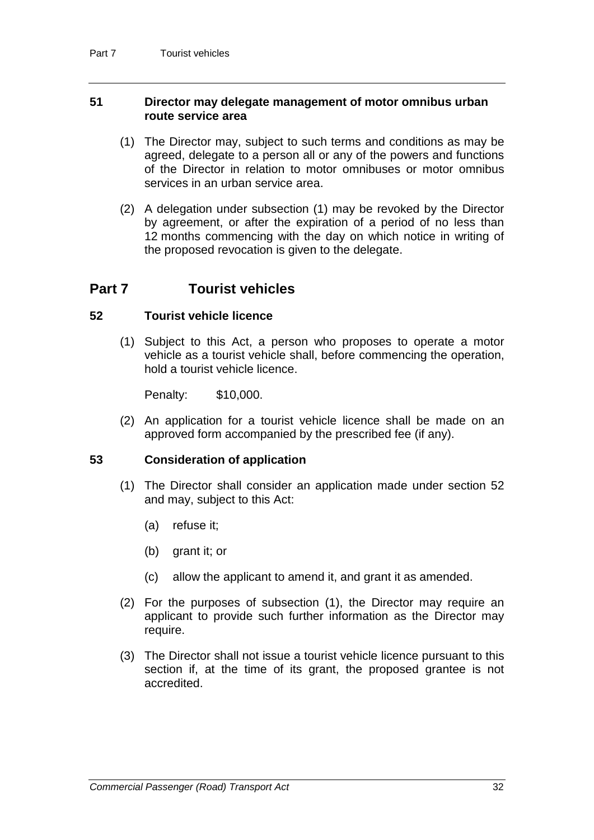### **51 Director may delegate management of motor omnibus urban route service area**

- (1) The Director may, subject to such terms and conditions as may be agreed, delegate to a person all or any of the powers and functions of the Director in relation to motor omnibuses or motor omnibus services in an urban service area.
- (2) A delegation under subsection (1) may be revoked by the Director by agreement, or after the expiration of a period of no less than 12 months commencing with the day on which notice in writing of the proposed revocation is given to the delegate.

## **Part 7 Tourist vehicles**

### **52 Tourist vehicle licence**

(1) Subject to this Act, a person who proposes to operate a motor vehicle as a tourist vehicle shall, before commencing the operation, hold a tourist vehicle licence.

Penalty: \$10,000.

(2) An application for a tourist vehicle licence shall be made on an approved form accompanied by the prescribed fee (if any).

#### **53 Consideration of application**

- (1) The Director shall consider an application made under section 52 and may, subject to this Act:
	- (a) refuse it;
	- (b) grant it; or
	- (c) allow the applicant to amend it, and grant it as amended.
- (2) For the purposes of subsection (1), the Director may require an applicant to provide such further information as the Director may require.
- (3) The Director shall not issue a tourist vehicle licence pursuant to this section if, at the time of its grant, the proposed grantee is not accredited.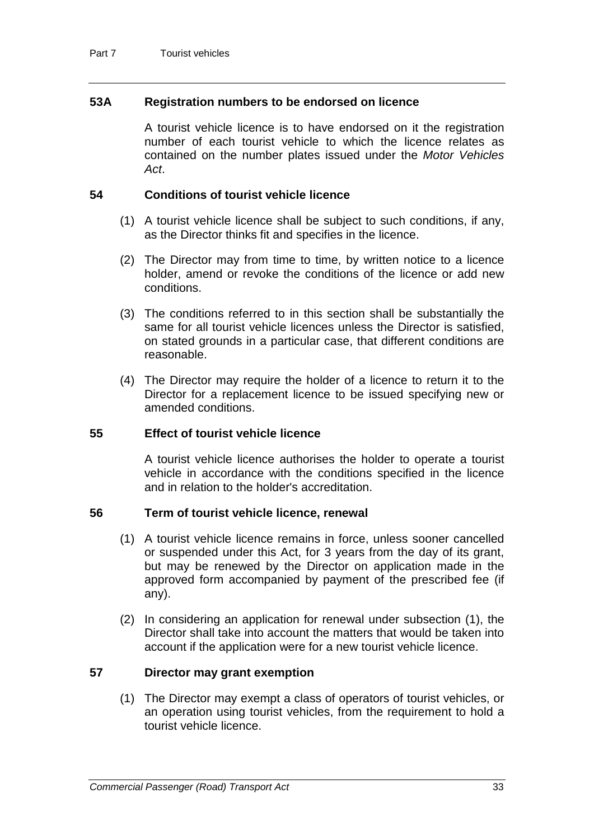## **53A Registration numbers to be endorsed on licence**

A tourist vehicle licence is to have endorsed on it the registration number of each tourist vehicle to which the licence relates as contained on the number plates issued under the *Motor Vehicles Act*.

## **54 Conditions of tourist vehicle licence**

- (1) A tourist vehicle licence shall be subject to such conditions, if any, as the Director thinks fit and specifies in the licence.
- (2) The Director may from time to time, by written notice to a licence holder, amend or revoke the conditions of the licence or add new conditions.
- (3) The conditions referred to in this section shall be substantially the same for all tourist vehicle licences unless the Director is satisfied, on stated grounds in a particular case, that different conditions are reasonable.
- (4) The Director may require the holder of a licence to return it to the Director for a replacement licence to be issued specifying new or amended conditions.

## **55 Effect of tourist vehicle licence**

A tourist vehicle licence authorises the holder to operate a tourist vehicle in accordance with the conditions specified in the licence and in relation to the holder's accreditation.

#### **56 Term of tourist vehicle licence, renewal**

- (1) A tourist vehicle licence remains in force, unless sooner cancelled or suspended under this Act, for 3 years from the day of its grant, but may be renewed by the Director on application made in the approved form accompanied by payment of the prescribed fee (if any).
- (2) In considering an application for renewal under subsection (1), the Director shall take into account the matters that would be taken into account if the application were for a new tourist vehicle licence.

#### **57 Director may grant exemption**

(1) The Director may exempt a class of operators of tourist vehicles, or an operation using tourist vehicles, from the requirement to hold a tourist vehicle licence.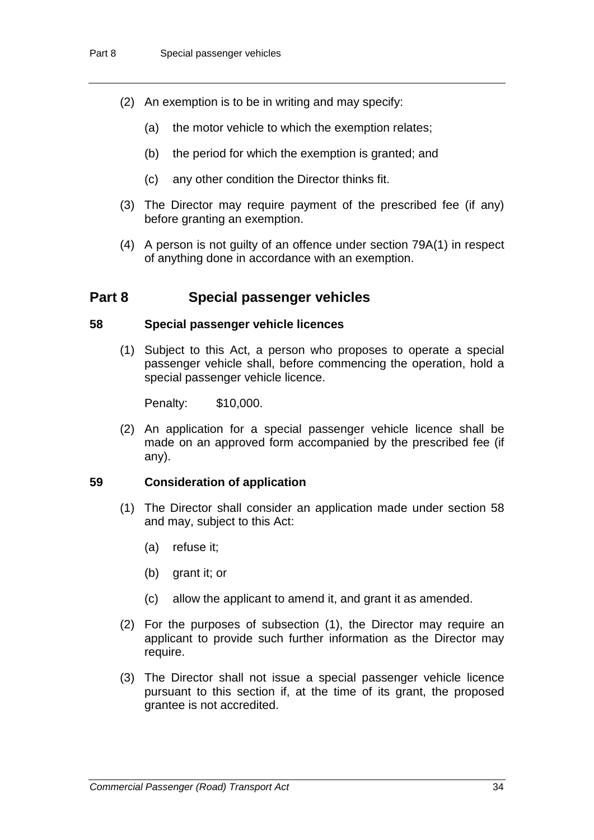- (2) An exemption is to be in writing and may specify:
	- (a) the motor vehicle to which the exemption relates;
	- (b) the period for which the exemption is granted; and
	- (c) any other condition the Director thinks fit.
- (3) The Director may require payment of the prescribed fee (if any) before granting an exemption.
- (4) A person is not guilty of an offence under section 79A(1) in respect of anything done in accordance with an exemption.

## **Part 8 Special passenger vehicles**

#### **58 Special passenger vehicle licences**

(1) Subject to this Act, a person who proposes to operate a special passenger vehicle shall, before commencing the operation, hold a special passenger vehicle licence.

Penalty: \$10,000.

(2) An application for a special passenger vehicle licence shall be made on an approved form accompanied by the prescribed fee (if any).

#### **59 Consideration of application**

- (1) The Director shall consider an application made under section 58 and may, subject to this Act:
	- (a) refuse it;
	- (b) grant it; or
	- (c) allow the applicant to amend it, and grant it as amended.
- (2) For the purposes of subsection (1), the Director may require an applicant to provide such further information as the Director may require.
- (3) The Director shall not issue a special passenger vehicle licence pursuant to this section if, at the time of its grant, the proposed grantee is not accredited.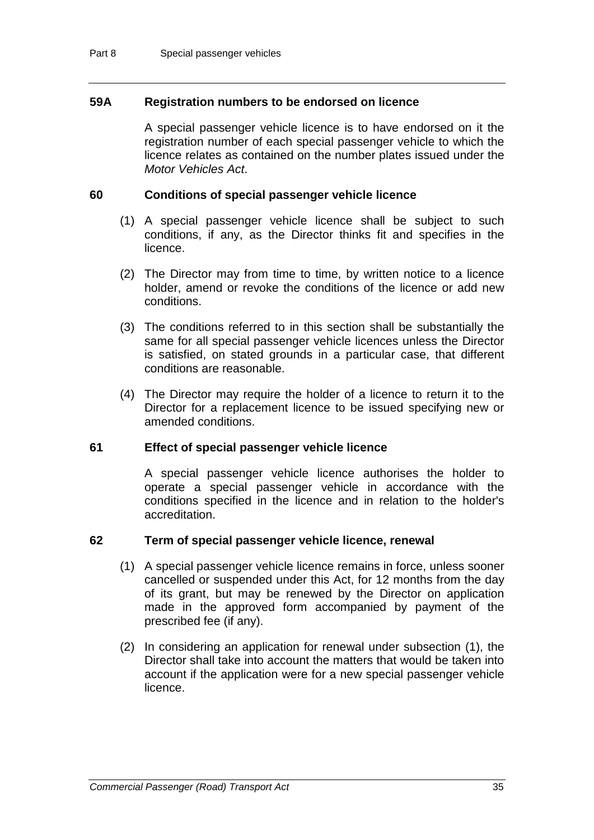### **59A Registration numbers to be endorsed on licence**

A special passenger vehicle licence is to have endorsed on it the registration number of each special passenger vehicle to which the licence relates as contained on the number plates issued under the *Motor Vehicles Act*.

#### **60 Conditions of special passenger vehicle licence**

- (1) A special passenger vehicle licence shall be subject to such conditions, if any, as the Director thinks fit and specifies in the licence.
- (2) The Director may from time to time, by written notice to a licence holder, amend or revoke the conditions of the licence or add new conditions.
- (3) The conditions referred to in this section shall be substantially the same for all special passenger vehicle licences unless the Director is satisfied, on stated grounds in a particular case, that different conditions are reasonable.
- (4) The Director may require the holder of a licence to return it to the Director for a replacement licence to be issued specifying new or amended conditions.

#### **61 Effect of special passenger vehicle licence**

A special passenger vehicle licence authorises the holder to operate a special passenger vehicle in accordance with the conditions specified in the licence and in relation to the holder's accreditation.

#### **62 Term of special passenger vehicle licence, renewal**

- (1) A special passenger vehicle licence remains in force, unless sooner cancelled or suspended under this Act, for 12 months from the day of its grant, but may be renewed by the Director on application made in the approved form accompanied by payment of the prescribed fee (if any).
- (2) In considering an application for renewal under subsection (1), the Director shall take into account the matters that would be taken into account if the application were for a new special passenger vehicle licence.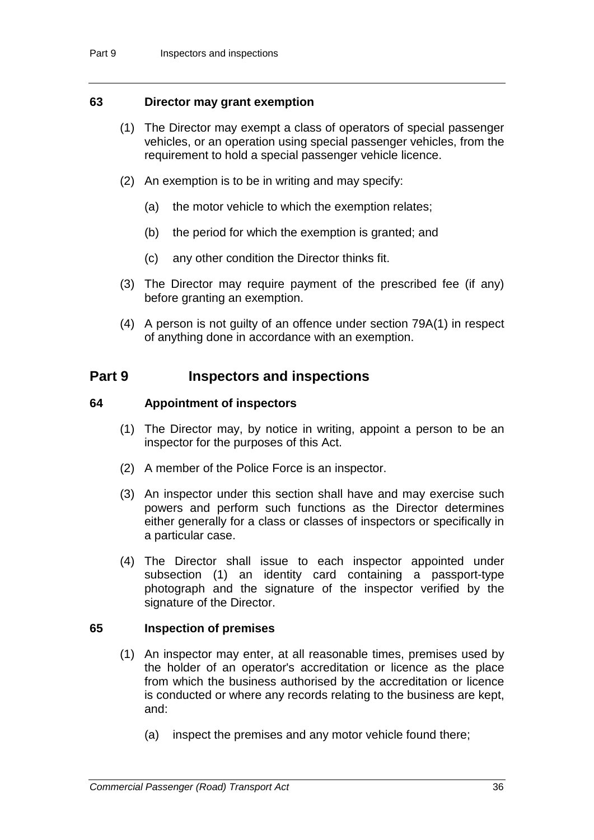## **63 Director may grant exemption**

- (1) The Director may exempt a class of operators of special passenger vehicles, or an operation using special passenger vehicles, from the requirement to hold a special passenger vehicle licence.
- (2) An exemption is to be in writing and may specify:
	- (a) the motor vehicle to which the exemption relates;
	- (b) the period for which the exemption is granted; and
	- (c) any other condition the Director thinks fit.
- (3) The Director may require payment of the prescribed fee (if any) before granting an exemption.
- (4) A person is not guilty of an offence under section 79A(1) in respect of anything done in accordance with an exemption.

## **Part 9 Inspectors and inspections**

### **64 Appointment of inspectors**

- (1) The Director may, by notice in writing, appoint a person to be an inspector for the purposes of this Act.
- (2) A member of the Police Force is an inspector.
- (3) An inspector under this section shall have and may exercise such powers and perform such functions as the Director determines either generally for a class or classes of inspectors or specifically in a particular case.
- (4) The Director shall issue to each inspector appointed under subsection (1) an identity card containing a passport-type photograph and the signature of the inspector verified by the signature of the Director.

## **65 Inspection of premises**

- (1) An inspector may enter, at all reasonable times, premises used by the holder of an operator's accreditation or licence as the place from which the business authorised by the accreditation or licence is conducted or where any records relating to the business are kept, and:
	- (a) inspect the premises and any motor vehicle found there;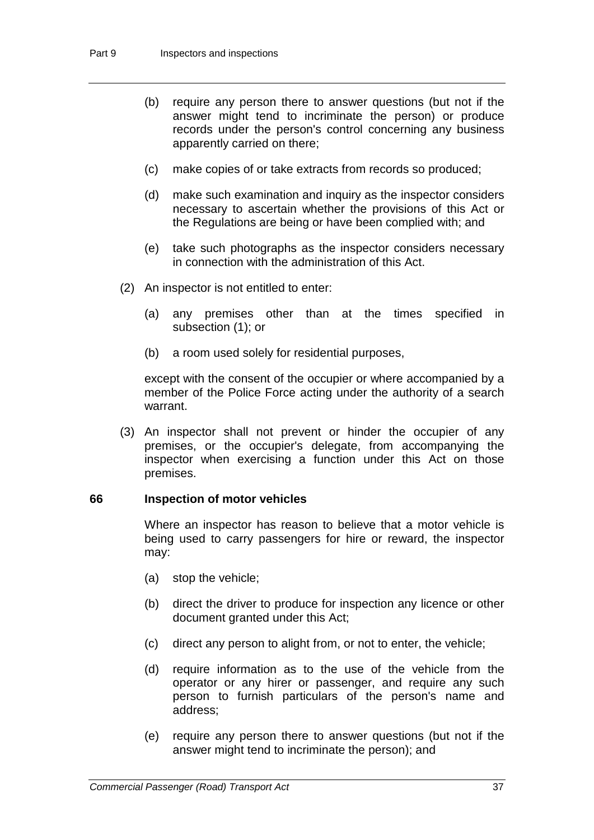- (b) require any person there to answer questions (but not if the answer might tend to incriminate the person) or produce records under the person's control concerning any business apparently carried on there;
- (c) make copies of or take extracts from records so produced;
- (d) make such examination and inquiry as the inspector considers necessary to ascertain whether the provisions of this Act or the Regulations are being or have been complied with; and
- (e) take such photographs as the inspector considers necessary in connection with the administration of this Act.
- (2) An inspector is not entitled to enter:
	- (a) any premises other than at the times specified in subsection (1); or
	- (b) a room used solely for residential purposes,

except with the consent of the occupier or where accompanied by a member of the Police Force acting under the authority of a search warrant.

(3) An inspector shall not prevent or hinder the occupier of any premises, or the occupier's delegate, from accompanying the inspector when exercising a function under this Act on those premises.

#### **66 Inspection of motor vehicles**

Where an inspector has reason to believe that a motor vehicle is being used to carry passengers for hire or reward, the inspector may:

- (a) stop the vehicle;
- (b) direct the driver to produce for inspection any licence or other document granted under this Act;
- (c) direct any person to alight from, or not to enter, the vehicle;
- (d) require information as to the use of the vehicle from the operator or any hirer or passenger, and require any such person to furnish particulars of the person's name and address;
- (e) require any person there to answer questions (but not if the answer might tend to incriminate the person); and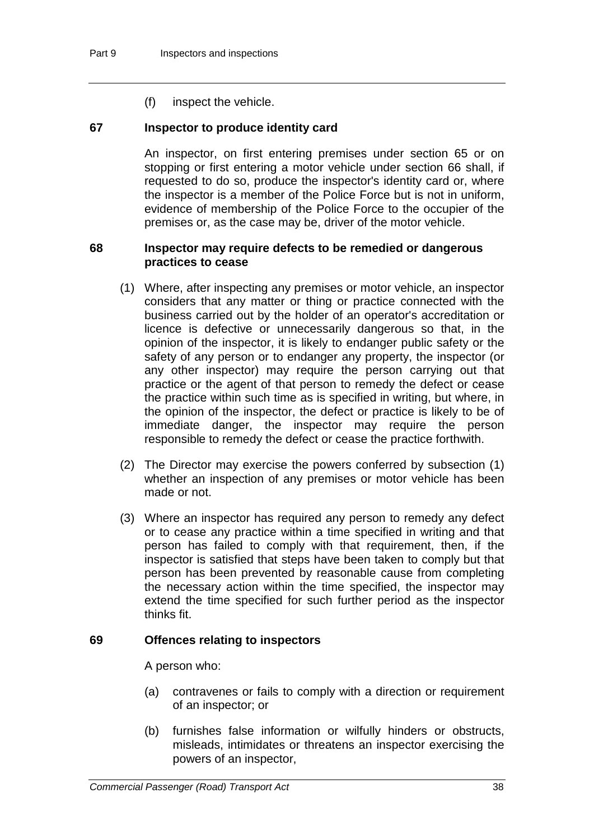(f) inspect the vehicle.

## **67 Inspector to produce identity card**

An inspector, on first entering premises under section 65 or on stopping or first entering a motor vehicle under section 66 shall, if requested to do so, produce the inspector's identity card or, where the inspector is a member of the Police Force but is not in uniform, evidence of membership of the Police Force to the occupier of the premises or, as the case may be, driver of the motor vehicle.

## **68 Inspector may require defects to be remedied or dangerous practices to cease**

- (1) Where, after inspecting any premises or motor vehicle, an inspector considers that any matter or thing or practice connected with the business carried out by the holder of an operator's accreditation or licence is defective or unnecessarily dangerous so that, in the opinion of the inspector, it is likely to endanger public safety or the safety of any person or to endanger any property, the inspector (or any other inspector) may require the person carrying out that practice or the agent of that person to remedy the defect or cease the practice within such time as is specified in writing, but where, in the opinion of the inspector, the defect or practice is likely to be of immediate danger, the inspector may require the person responsible to remedy the defect or cease the practice forthwith.
- (2) The Director may exercise the powers conferred by subsection (1) whether an inspection of any premises or motor vehicle has been made or not.
- (3) Where an inspector has required any person to remedy any defect or to cease any practice within a time specified in writing and that person has failed to comply with that requirement, then, if the inspector is satisfied that steps have been taken to comply but that person has been prevented by reasonable cause from completing the necessary action within the time specified, the inspector may extend the time specified for such further period as the inspector thinks fit.

#### **69 Offences relating to inspectors**

A person who:

- (a) contravenes or fails to comply with a direction or requirement of an inspector; or
- (b) furnishes false information or wilfully hinders or obstructs, misleads, intimidates or threatens an inspector exercising the powers of an inspector,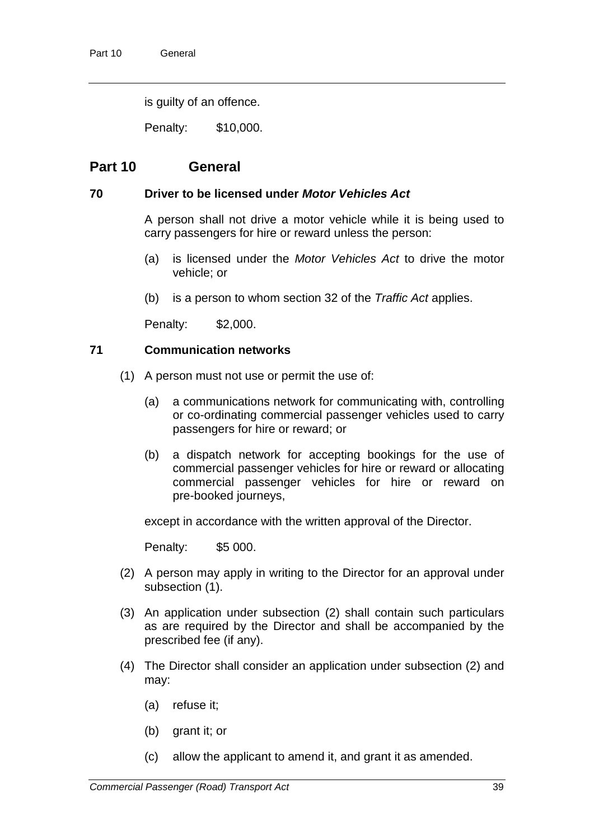is guilty of an offence.

Penalty: \$10,000.

## **Part 10 General**

## **70 Driver to be licensed under** *Motor Vehicles Act*

A person shall not drive a motor vehicle while it is being used to carry passengers for hire or reward unless the person:

- (a) is licensed under the *Motor Vehicles Act* to drive the motor vehicle; or
- (b) is a person to whom section 32 of the *Traffic Act* applies.

Penalty: \$2,000.

## **71 Communication networks**

- (1) A person must not use or permit the use of:
	- (a) a communications network for communicating with, controlling or co-ordinating commercial passenger vehicles used to carry passengers for hire or reward; or
	- (b) a dispatch network for accepting bookings for the use of commercial passenger vehicles for hire or reward or allocating commercial passenger vehicles for hire or reward on pre-booked journeys,

except in accordance with the written approval of the Director.

Penalty: \$5 000.

- (2) A person may apply in writing to the Director for an approval under subsection (1).
- (3) An application under subsection (2) shall contain such particulars as are required by the Director and shall be accompanied by the prescribed fee (if any).
- (4) The Director shall consider an application under subsection (2) and may:
	- (a) refuse it;
	- (b) grant it; or
	- (c) allow the applicant to amend it, and grant it as amended.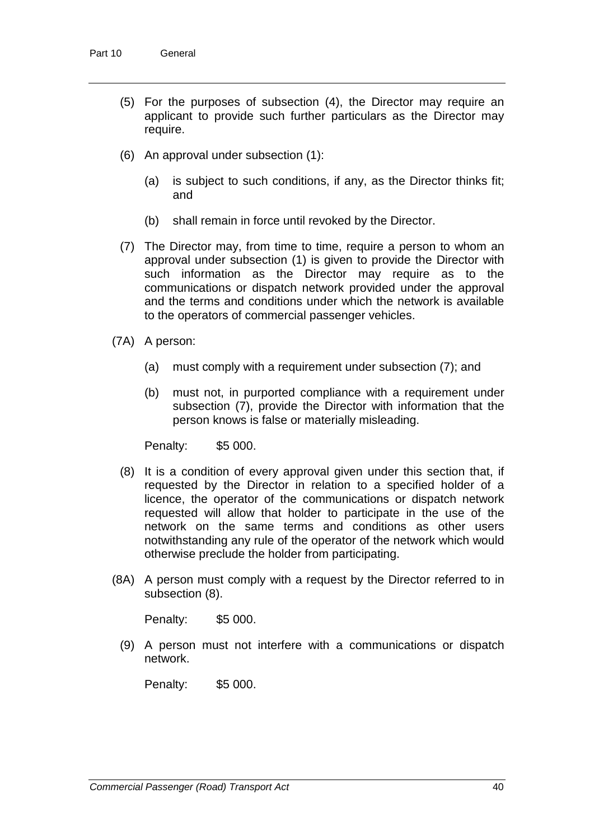- (5) For the purposes of subsection (4), the Director may require an applicant to provide such further particulars as the Director may require.
- (6) An approval under subsection (1):
	- (a) is subject to such conditions, if any, as the Director thinks fit; and
	- (b) shall remain in force until revoked by the Director.
- (7) The Director may, from time to time, require a person to whom an approval under subsection (1) is given to provide the Director with such information as the Director may require as to the communications or dispatch network provided under the approval and the terms and conditions under which the network is available to the operators of commercial passenger vehicles.
- (7A) A person:
	- (a) must comply with a requirement under subsection (7); and
	- (b) must not, in purported compliance with a requirement under subsection (7), provide the Director with information that the person knows is false or materially misleading.

Penalty: \$5 000.

- (8) It is a condition of every approval given under this section that, if requested by the Director in relation to a specified holder of a licence, the operator of the communications or dispatch network requested will allow that holder to participate in the use of the network on the same terms and conditions as other users notwithstanding any rule of the operator of the network which would otherwise preclude the holder from participating.
- (8A) A person must comply with a request by the Director referred to in subsection (8).

Penalty: \$5 000.

(9) A person must not interfere with a communications or dispatch network.

Penalty: \$5 000.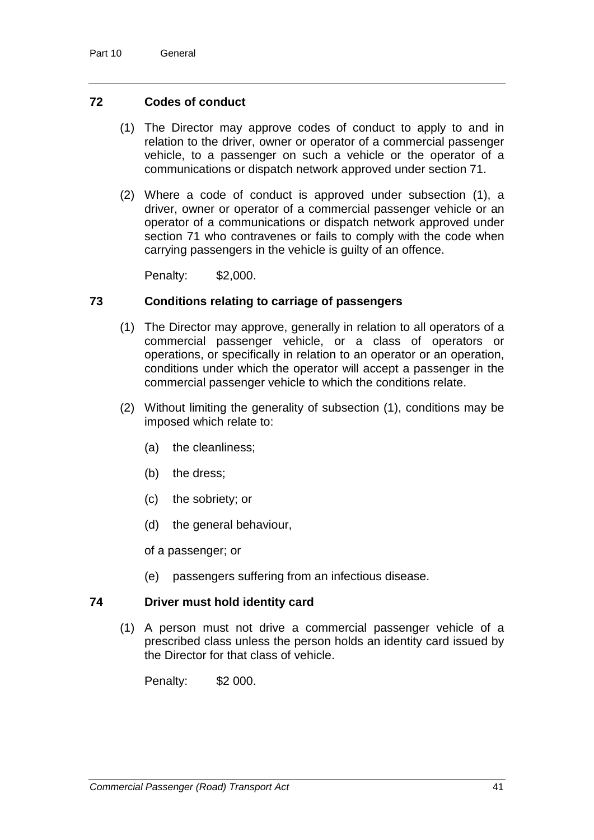## **72 Codes of conduct**

- (1) The Director may approve codes of conduct to apply to and in relation to the driver, owner or operator of a commercial passenger vehicle, to a passenger on such a vehicle or the operator of a communications or dispatch network approved under section 71.
- (2) Where a code of conduct is approved under subsection (1), a driver, owner or operator of a commercial passenger vehicle or an operator of a communications or dispatch network approved under section 71 who contravenes or fails to comply with the code when carrying passengers in the vehicle is guilty of an offence.

Penalty: \$2,000.

## **73 Conditions relating to carriage of passengers**

- (1) The Director may approve, generally in relation to all operators of a commercial passenger vehicle, or a class of operators or operations, or specifically in relation to an operator or an operation, conditions under which the operator will accept a passenger in the commercial passenger vehicle to which the conditions relate.
- (2) Without limiting the generality of subsection (1), conditions may be imposed which relate to:
	- (a) the cleanliness;
	- (b) the dress;
	- (c) the sobriety; or
	- (d) the general behaviour,

of a passenger; or

(e) passengers suffering from an infectious disease.

## **74 Driver must hold identity card**

(1) A person must not drive a commercial passenger vehicle of a prescribed class unless the person holds an identity card issued by the Director for that class of vehicle.

Penalty: \$2 000.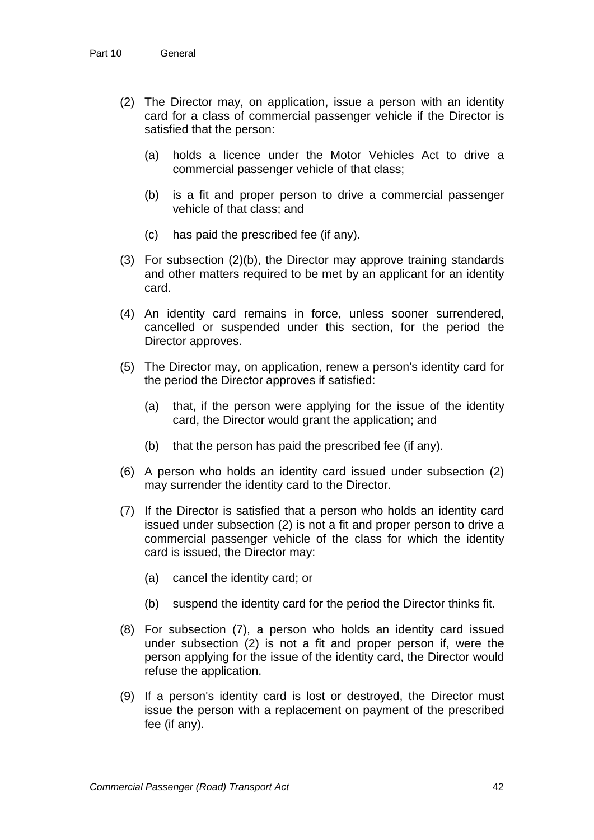- (2) The Director may, on application, issue a person with an identity card for a class of commercial passenger vehicle if the Director is satisfied that the person:
	- (a) holds a licence under the Motor Vehicles Act to drive a commercial passenger vehicle of that class;
	- (b) is a fit and proper person to drive a commercial passenger vehicle of that class; and
	- (c) has paid the prescribed fee (if any).
- (3) For subsection (2)(b), the Director may approve training standards and other matters required to be met by an applicant for an identity card.
- (4) An identity card remains in force, unless sooner surrendered, cancelled or suspended under this section, for the period the Director approves.
- (5) The Director may, on application, renew a person's identity card for the period the Director approves if satisfied:
	- (a) that, if the person were applying for the issue of the identity card, the Director would grant the application; and
	- (b) that the person has paid the prescribed fee (if any).
- (6) A person who holds an identity card issued under subsection (2) may surrender the identity card to the Director.
- (7) If the Director is satisfied that a person who holds an identity card issued under subsection (2) is not a fit and proper person to drive a commercial passenger vehicle of the class for which the identity card is issued, the Director may:
	- (a) cancel the identity card; or
	- (b) suspend the identity card for the period the Director thinks fit.
- (8) For subsection (7), a person who holds an identity card issued under subsection (2) is not a fit and proper person if, were the person applying for the issue of the identity card, the Director would refuse the application.
- (9) If a person's identity card is lost or destroyed, the Director must issue the person with a replacement on payment of the prescribed fee (if any).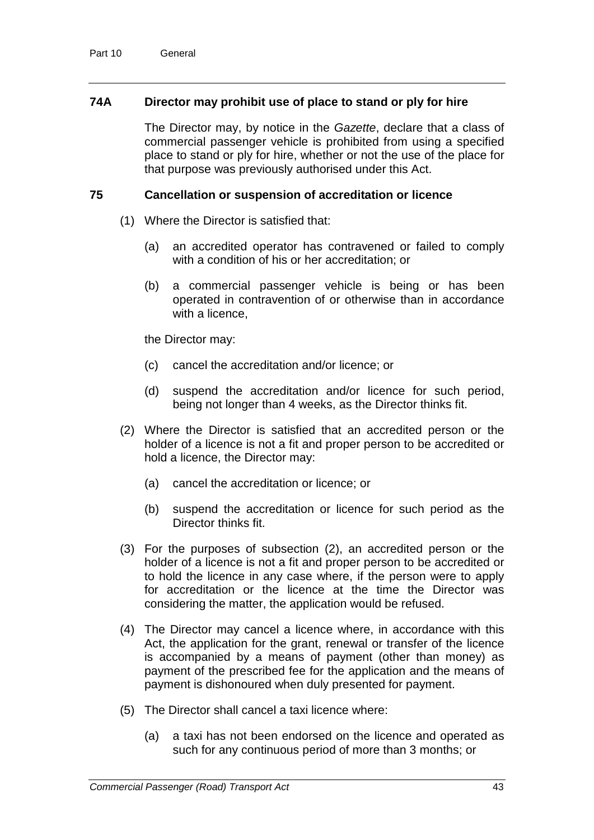## **74A Director may prohibit use of place to stand or ply for hire**

The Director may, by notice in the *Gazette*, declare that a class of commercial passenger vehicle is prohibited from using a specified place to stand or ply for hire, whether or not the use of the place for that purpose was previously authorised under this Act.

## **75 Cancellation or suspension of accreditation or licence**

- (1) Where the Director is satisfied that:
	- (a) an accredited operator has contravened or failed to comply with a condition of his or her accreditation; or
	- (b) a commercial passenger vehicle is being or has been operated in contravention of or otherwise than in accordance with a licence.

the Director may:

- (c) cancel the accreditation and/or licence; or
- (d) suspend the accreditation and/or licence for such period, being not longer than 4 weeks, as the Director thinks fit.
- (2) Where the Director is satisfied that an accredited person or the holder of a licence is not a fit and proper person to be accredited or hold a licence, the Director may:
	- (a) cancel the accreditation or licence; or
	- (b) suspend the accreditation or licence for such period as the Director thinks fit.
- (3) For the purposes of subsection (2), an accredited person or the holder of a licence is not a fit and proper person to be accredited or to hold the licence in any case where, if the person were to apply for accreditation or the licence at the time the Director was considering the matter, the application would be refused.
- (4) The Director may cancel a licence where, in accordance with this Act, the application for the grant, renewal or transfer of the licence is accompanied by a means of payment (other than money) as payment of the prescribed fee for the application and the means of payment is dishonoured when duly presented for payment.
- (5) The Director shall cancel a taxi licence where:
	- (a) a taxi has not been endorsed on the licence and operated as such for any continuous period of more than 3 months; or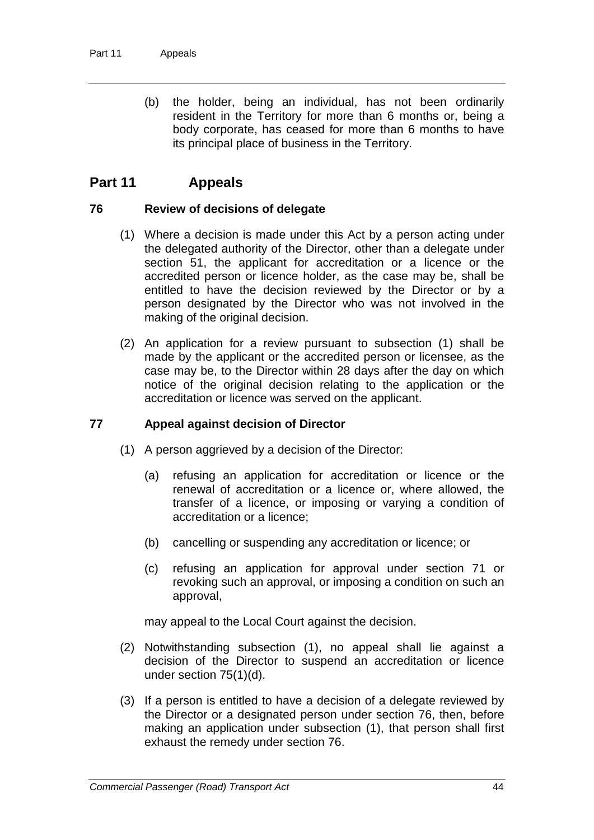(b) the holder, being an individual, has not been ordinarily resident in the Territory for more than 6 months or, being a body corporate, has ceased for more than 6 months to have its principal place of business in the Territory.

## **Part 11 Appeals**

### **76 Review of decisions of delegate**

- (1) Where a decision is made under this Act by a person acting under the delegated authority of the Director, other than a delegate under section 51, the applicant for accreditation or a licence or the accredited person or licence holder, as the case may be, shall be entitled to have the decision reviewed by the Director or by a person designated by the Director who was not involved in the making of the original decision.
- (2) An application for a review pursuant to subsection (1) shall be made by the applicant or the accredited person or licensee, as the case may be, to the Director within 28 days after the day on which notice of the original decision relating to the application or the accreditation or licence was served on the applicant.

## **77 Appeal against decision of Director**

- (1) A person aggrieved by a decision of the Director:
	- (a) refusing an application for accreditation or licence or the renewal of accreditation or a licence or, where allowed, the transfer of a licence, or imposing or varying a condition of accreditation or a licence;
	- (b) cancelling or suspending any accreditation or licence; or
	- (c) refusing an application for approval under section 71 or revoking such an approval, or imposing a condition on such an approval,

may appeal to the Local Court against the decision.

- (2) Notwithstanding subsection (1), no appeal shall lie against a decision of the Director to suspend an accreditation or licence under section 75(1)(d).
- (3) If a person is entitled to have a decision of a delegate reviewed by the Director or a designated person under section 76, then, before making an application under subsection (1), that person shall first exhaust the remedy under section 76.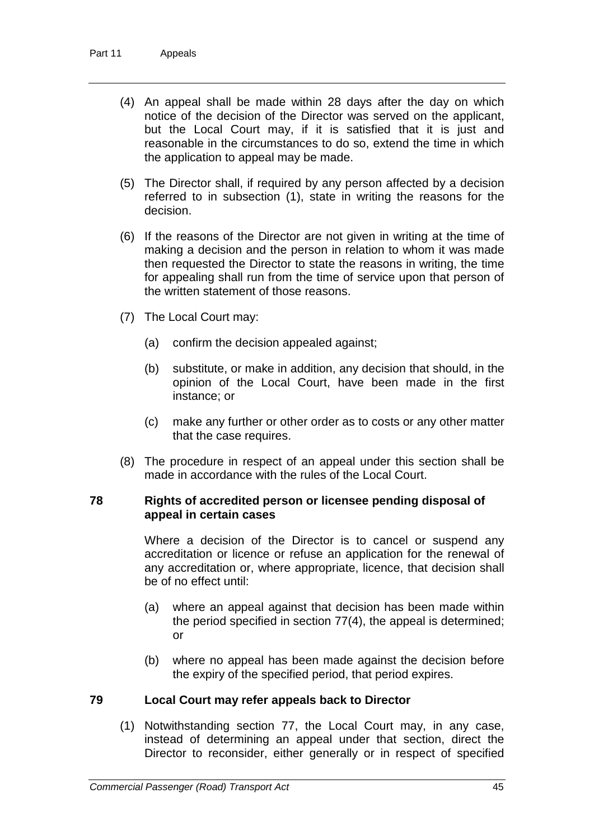- (4) An appeal shall be made within 28 days after the day on which notice of the decision of the Director was served on the applicant, but the Local Court may, if it is satisfied that it is just and reasonable in the circumstances to do so, extend the time in which the application to appeal may be made.
- (5) The Director shall, if required by any person affected by a decision referred to in subsection (1), state in writing the reasons for the decision.
- (6) If the reasons of the Director are not given in writing at the time of making a decision and the person in relation to whom it was made then requested the Director to state the reasons in writing, the time for appealing shall run from the time of service upon that person of the written statement of those reasons.
- (7) The Local Court may:
	- (a) confirm the decision appealed against;
	- (b) substitute, or make in addition, any decision that should, in the opinion of the Local Court, have been made in the first instance; or
	- (c) make any further or other order as to costs or any other matter that the case requires.
- (8) The procedure in respect of an appeal under this section shall be made in accordance with the rules of the Local Court.

### **78 Rights of accredited person or licensee pending disposal of appeal in certain cases**

Where a decision of the Director is to cancel or suspend any accreditation or licence or refuse an application for the renewal of any accreditation or, where appropriate, licence, that decision shall be of no effect until:

- (a) where an appeal against that decision has been made within the period specified in section 77(4), the appeal is determined; or
- (b) where no appeal has been made against the decision before the expiry of the specified period, that period expires.

#### **79 Local Court may refer appeals back to Director**

(1) Notwithstanding section 77, the Local Court may, in any case, instead of determining an appeal under that section, direct the Director to reconsider, either generally or in respect of specified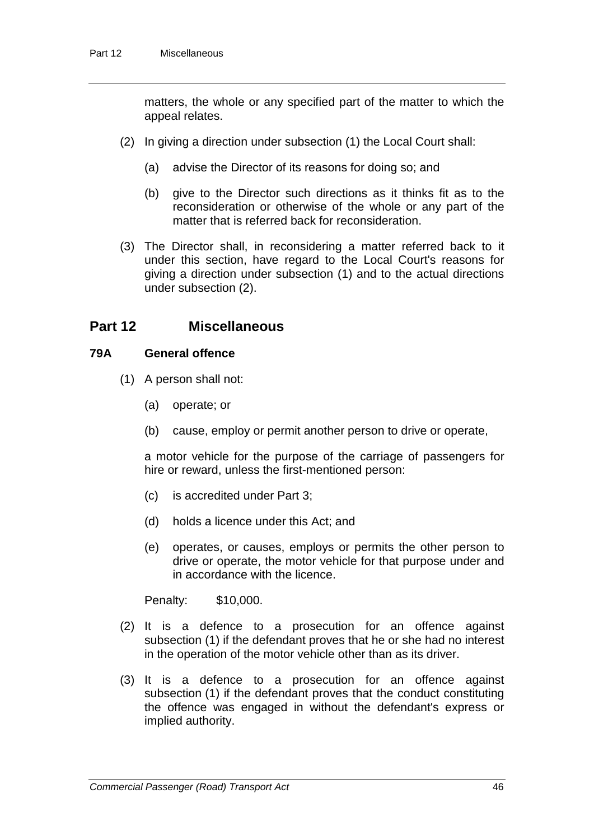matters, the whole or any specified part of the matter to which the appeal relates.

- (2) In giving a direction under subsection (1) the Local Court shall:
	- (a) advise the Director of its reasons for doing so; and
	- (b) give to the Director such directions as it thinks fit as to the reconsideration or otherwise of the whole or any part of the matter that is referred back for reconsideration.
- (3) The Director shall, in reconsidering a matter referred back to it under this section, have regard to the Local Court's reasons for giving a direction under subsection (1) and to the actual directions under subsection (2).

## **Part 12 Miscellaneous**

## **79A General offence**

- (1) A person shall not:
	- (a) operate; or
	- (b) cause, employ or permit another person to drive or operate,

a motor vehicle for the purpose of the carriage of passengers for hire or reward, unless the first-mentioned person:

- (c) is accredited under Part 3;
- (d) holds a licence under this Act; and
- (e) operates, or causes, employs or permits the other person to drive or operate, the motor vehicle for that purpose under and in accordance with the licence.

Penalty: \$10,000.

- (2) It is a defence to a prosecution for an offence against subsection (1) if the defendant proves that he or she had no interest in the operation of the motor vehicle other than as its driver.
- (3) It is a defence to a prosecution for an offence against subsection (1) if the defendant proves that the conduct constituting the offence was engaged in without the defendant's express or implied authority.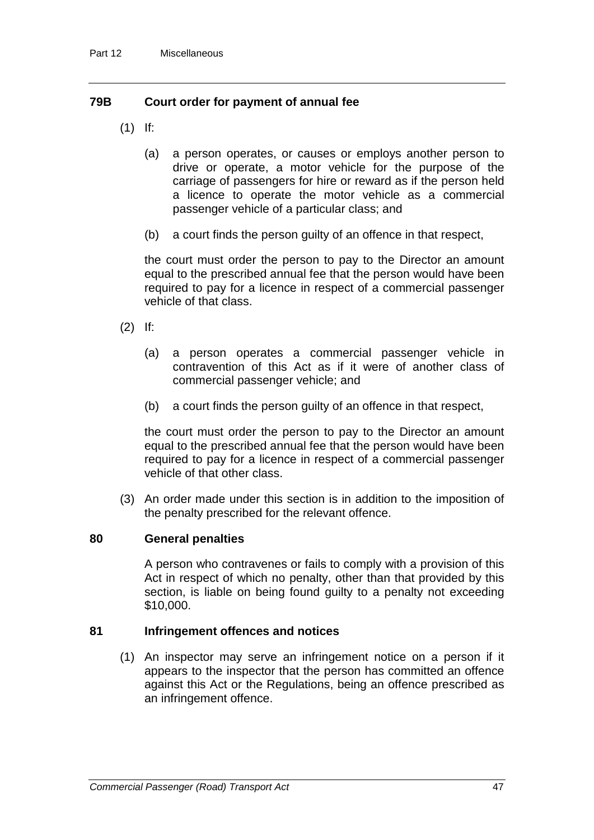## **79B Court order for payment of annual fee**

- (1) If:
	- (a) a person operates, or causes or employs another person to drive or operate, a motor vehicle for the purpose of the carriage of passengers for hire or reward as if the person held a licence to operate the motor vehicle as a commercial passenger vehicle of a particular class; and
	- (b) a court finds the person guilty of an offence in that respect,

the court must order the person to pay to the Director an amount equal to the prescribed annual fee that the person would have been required to pay for a licence in respect of a commercial passenger vehicle of that class.

- (2) If:
	- (a) a person operates a commercial passenger vehicle in contravention of this Act as if it were of another class of commercial passenger vehicle; and
	- (b) a court finds the person guilty of an offence in that respect,

the court must order the person to pay to the Director an amount equal to the prescribed annual fee that the person would have been required to pay for a licence in respect of a commercial passenger vehicle of that other class.

(3) An order made under this section is in addition to the imposition of the penalty prescribed for the relevant offence.

## **80 General penalties**

A person who contravenes or fails to comply with a provision of this Act in respect of which no penalty, other than that provided by this section, is liable on being found guilty to a penalty not exceeding \$10,000.

#### **81 Infringement offences and notices**

(1) An inspector may serve an infringement notice on a person if it appears to the inspector that the person has committed an offence against this Act or the Regulations, being an offence prescribed as an infringement offence.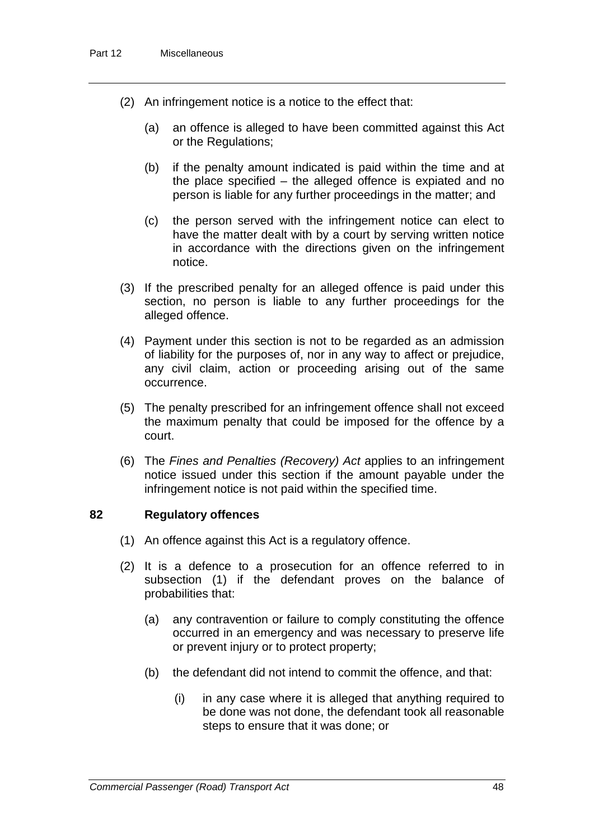- (2) An infringement notice is a notice to the effect that:
	- (a) an offence is alleged to have been committed against this Act or the Regulations;
	- (b) if the penalty amount indicated is paid within the time and at the place specified – the alleged offence is expiated and no person is liable for any further proceedings in the matter; and
	- (c) the person served with the infringement notice can elect to have the matter dealt with by a court by serving written notice in accordance with the directions given on the infringement notice.
- (3) If the prescribed penalty for an alleged offence is paid under this section, no person is liable to any further proceedings for the alleged offence.
- (4) Payment under this section is not to be regarded as an admission of liability for the purposes of, nor in any way to affect or prejudice, any civil claim, action or proceeding arising out of the same occurrence.
- (5) The penalty prescribed for an infringement offence shall not exceed the maximum penalty that could be imposed for the offence by a court.
- (6) The *Fines and Penalties (Recovery) Act* applies to an infringement notice issued under this section if the amount payable under the infringement notice is not paid within the specified time.

## **82 Regulatory offences**

- (1) An offence against this Act is a regulatory offence.
- (2) It is a defence to a prosecution for an offence referred to in subsection (1) if the defendant proves on the balance of probabilities that:
	- (a) any contravention or failure to comply constituting the offence occurred in an emergency and was necessary to preserve life or prevent injury or to protect property;
	- (b) the defendant did not intend to commit the offence, and that:
		- (i) in any case where it is alleged that anything required to be done was not done, the defendant took all reasonable steps to ensure that it was done; or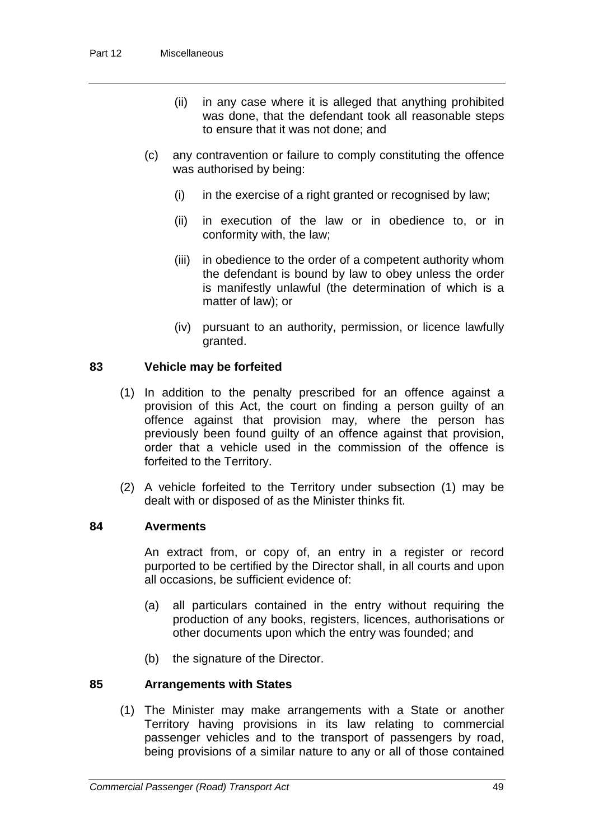- (ii) in any case where it is alleged that anything prohibited was done, that the defendant took all reasonable steps to ensure that it was not done; and
- (c) any contravention or failure to comply constituting the offence was authorised by being:
	- (i) in the exercise of a right granted or recognised by law;
	- (ii) in execution of the law or in obedience to, or in conformity with, the law;
	- (iii) in obedience to the order of a competent authority whom the defendant is bound by law to obey unless the order is manifestly unlawful (the determination of which is a matter of law); or
	- (iv) pursuant to an authority, permission, or licence lawfully granted.

## **83 Vehicle may be forfeited**

- (1) In addition to the penalty prescribed for an offence against a provision of this Act, the court on finding a person guilty of an offence against that provision may, where the person has previously been found guilty of an offence against that provision, order that a vehicle used in the commission of the offence is forfeited to the Territory.
- (2) A vehicle forfeited to the Territory under subsection (1) may be dealt with or disposed of as the Minister thinks fit.

#### **84 Averments**

An extract from, or copy of, an entry in a register or record purported to be certified by the Director shall, in all courts and upon all occasions, be sufficient evidence of:

- (a) all particulars contained in the entry without requiring the production of any books, registers, licences, authorisations or other documents upon which the entry was founded; and
- (b) the signature of the Director.

#### **85 Arrangements with States**

(1) The Minister may make arrangements with a State or another Territory having provisions in its law relating to commercial passenger vehicles and to the transport of passengers by road, being provisions of a similar nature to any or all of those contained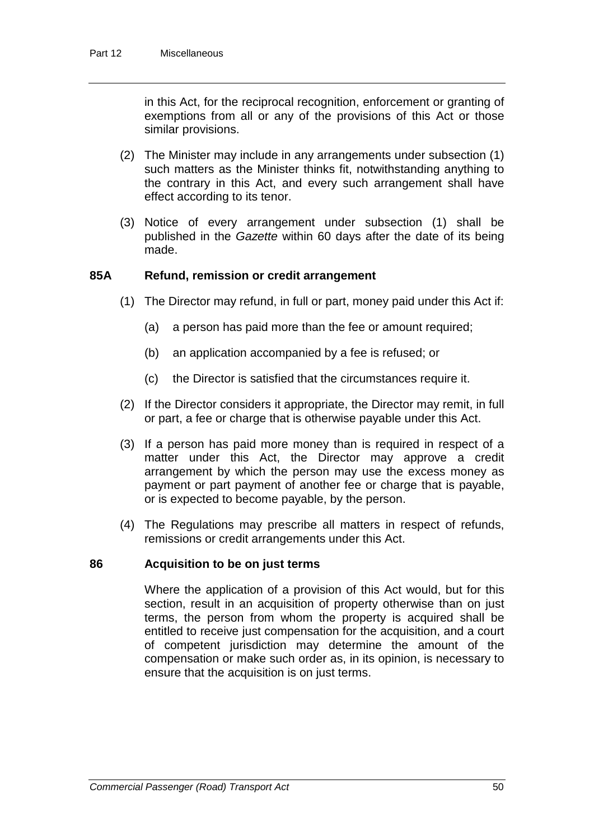in this Act, for the reciprocal recognition, enforcement or granting of exemptions from all or any of the provisions of this Act or those similar provisions.

- (2) The Minister may include in any arrangements under subsection (1) such matters as the Minister thinks fit, notwithstanding anything to the contrary in this Act, and every such arrangement shall have effect according to its tenor.
- (3) Notice of every arrangement under subsection (1) shall be published in the *Gazette* within 60 days after the date of its being made.

## **85A Refund, remission or credit arrangement**

- (1) The Director may refund, in full or part, money paid under this Act if:
	- (a) a person has paid more than the fee or amount required;
	- (b) an application accompanied by a fee is refused; or
	- (c) the Director is satisfied that the circumstances require it.
- (2) If the Director considers it appropriate, the Director may remit, in full or part, a fee or charge that is otherwise payable under this Act.
- (3) If a person has paid more money than is required in respect of a matter under this Act, the Director may approve a credit arrangement by which the person may use the excess money as payment or part payment of another fee or charge that is payable, or is expected to become payable, by the person.
- (4) The Regulations may prescribe all matters in respect of refunds, remissions or credit arrangements under this Act.

#### **86 Acquisition to be on just terms**

Where the application of a provision of this Act would, but for this section, result in an acquisition of property otherwise than on just terms, the person from whom the property is acquired shall be entitled to receive just compensation for the acquisition, and a court of competent jurisdiction may determine the amount of the compensation or make such order as, in its opinion, is necessary to ensure that the acquisition is on just terms.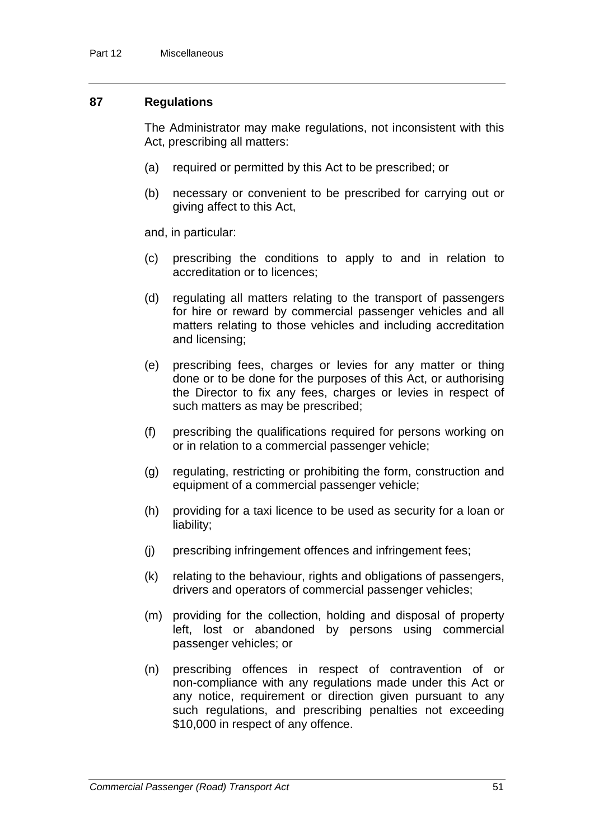#### **87 Regulations**

The Administrator may make regulations, not inconsistent with this Act, prescribing all matters:

- (a) required or permitted by this Act to be prescribed; or
- (b) necessary or convenient to be prescribed for carrying out or giving affect to this Act,

and, in particular:

- (c) prescribing the conditions to apply to and in relation to accreditation or to licences;
- (d) regulating all matters relating to the transport of passengers for hire or reward by commercial passenger vehicles and all matters relating to those vehicles and including accreditation and licensing;
- (e) prescribing fees, charges or levies for any matter or thing done or to be done for the purposes of this Act, or authorising the Director to fix any fees, charges or levies in respect of such matters as may be prescribed;
- (f) prescribing the qualifications required for persons working on or in relation to a commercial passenger vehicle;
- (g) regulating, restricting or prohibiting the form, construction and equipment of a commercial passenger vehicle;
- (h) providing for a taxi licence to be used as security for a loan or liability;
- (j) prescribing infringement offences and infringement fees;
- (k) relating to the behaviour, rights and obligations of passengers, drivers and operators of commercial passenger vehicles;
- (m) providing for the collection, holding and disposal of property left, lost or abandoned by persons using commercial passenger vehicles; or
- (n) prescribing offences in respect of contravention of or non-compliance with any regulations made under this Act or any notice, requirement or direction given pursuant to any such regulations, and prescribing penalties not exceeding \$10,000 in respect of any offence.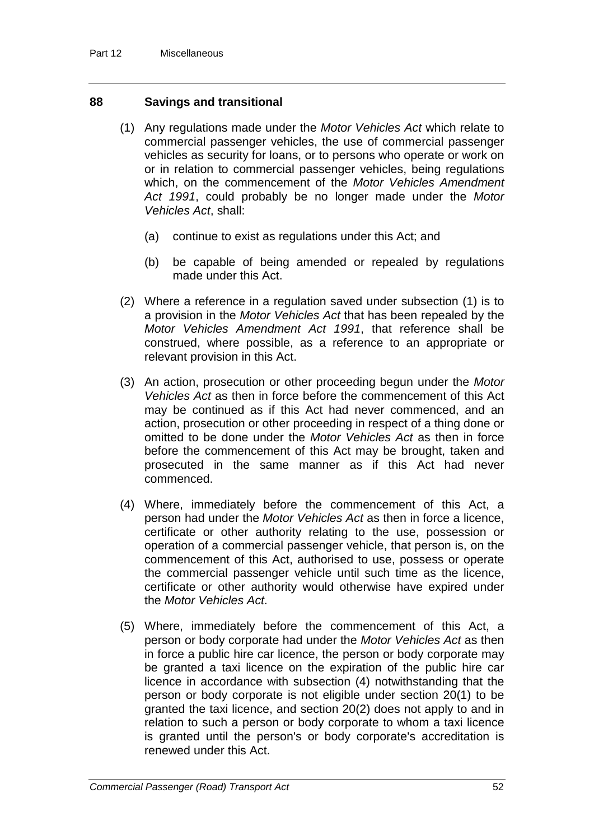## **88 Savings and transitional**

- (1) Any regulations made under the *Motor Vehicles Act* which relate to commercial passenger vehicles, the use of commercial passenger vehicles as security for loans, or to persons who operate or work on or in relation to commercial passenger vehicles, being regulations which, on the commencement of the *Motor Vehicles Amendment Act 1991*, could probably be no longer made under the *Motor Vehicles Act*, shall:
	- (a) continue to exist as regulations under this Act; and
	- (b) be capable of being amended or repealed by regulations made under this Act.
- (2) Where a reference in a regulation saved under subsection (1) is to a provision in the *Motor Vehicles Act* that has been repealed by the *Motor Vehicles Amendment Act 1991*, that reference shall be construed, where possible, as a reference to an appropriate or relevant provision in this Act.
- (3) An action, prosecution or other proceeding begun under the *Motor Vehicles Act* as then in force before the commencement of this Act may be continued as if this Act had never commenced, and an action, prosecution or other proceeding in respect of a thing done or omitted to be done under the *Motor Vehicles Act* as then in force before the commencement of this Act may be brought, taken and prosecuted in the same manner as if this Act had never commenced.
- (4) Where, immediately before the commencement of this Act, a person had under the *Motor Vehicles Act* as then in force a licence, certificate or other authority relating to the use, possession or operation of a commercial passenger vehicle, that person is, on the commencement of this Act, authorised to use, possess or operate the commercial passenger vehicle until such time as the licence, certificate or other authority would otherwise have expired under the *Motor Vehicles Act*.
- (5) Where, immediately before the commencement of this Act, a person or body corporate had under the *Motor Vehicles Act* as then in force a public hire car licence, the person or body corporate may be granted a taxi licence on the expiration of the public hire car licence in accordance with subsection (4) notwithstanding that the person or body corporate is not eligible under section 20(1) to be granted the taxi licence, and section 20(2) does not apply to and in relation to such a person or body corporate to whom a taxi licence is granted until the person's or body corporate's accreditation is renewed under this Act.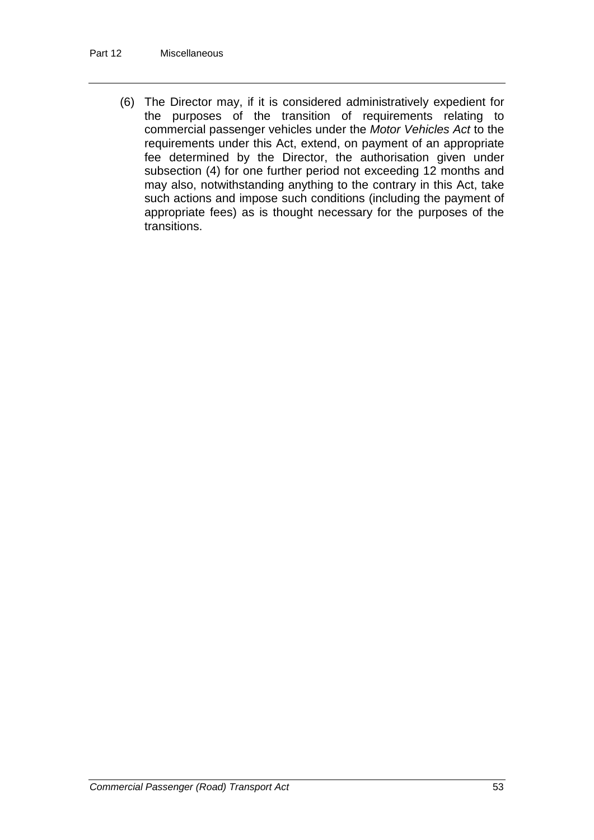(6) The Director may, if it is considered administratively expedient for the purposes of the transition of requirements relating to commercial passenger vehicles under the *Motor Vehicles Act* to the requirements under this Act, extend, on payment of an appropriate fee determined by the Director, the authorisation given under subsection (4) for one further period not exceeding 12 months and may also, notwithstanding anything to the contrary in this Act, take such actions and impose such conditions (including the payment of appropriate fees) as is thought necessary for the purposes of the transitions.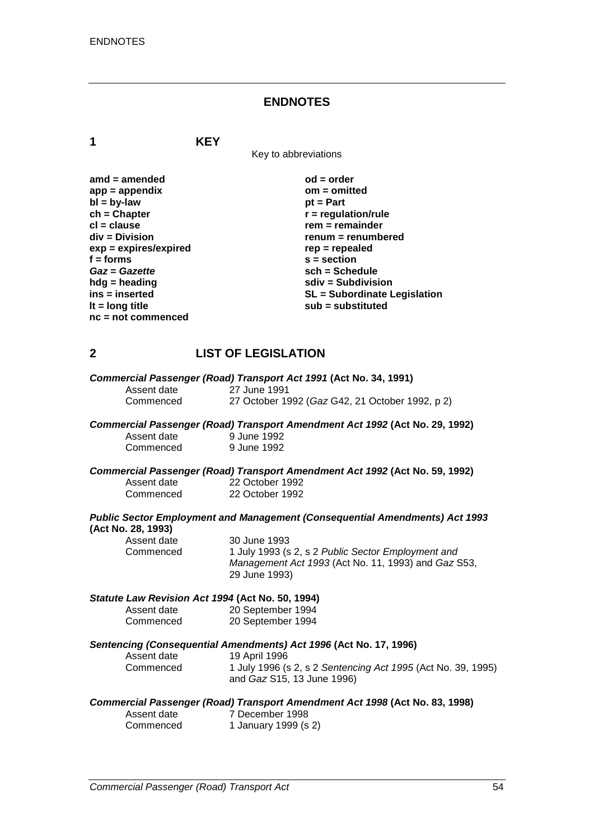#### **ENDNOTES**

**1 KEY**

Key to abbreviations

| $amd = amended$         | $od = order$                        |
|-------------------------|-------------------------------------|
| $app = appendix$        | om = omitted                        |
| $bl = by-law$           | $pt = Part$                         |
| $ch = Chapter$          | $r =$ regulation/rule               |
| $cl = clause$           | $rem = remainder$                   |
| div = Division          | renum = renumbered                  |
| $exp = expires/expired$ | $rep = repeated$                    |
| $f = form$              | $s = section$                       |
| Gaz = Gazette           | $sch = Schedule$                    |
| $h dg =$ heading        | $sdiv = Subdivision$                |
| ins = inserted          | <b>SL</b> = Subordinate Legislation |
| It = $long$ title       | $sub =$ substituted                 |
| $nc = not commenced$    |                                     |

## **2 LIST OF LEGISLATION**

| Commercial Passenger (Road) Transport Act 1991 (Act No. 34, 1991) |                                                 |  |
|-------------------------------------------------------------------|-------------------------------------------------|--|
| Assent date                                                       | 27 June 1991                                    |  |
| Commenced                                                         | 27 October 1992 (Gaz G42, 21 October 1992, p 2) |  |

#### *Commercial Passenger (Road) Transport Amendment Act 1992* **(Act No. 29, 1992)** 9 June 1992 Commenced

#### *Commercial Passenger (Road) Transport Amendment Act 1992* **(Act No. 59, 1992)** Assent date 22 October 1992

| 22 October 1992<br>Commenced |              | <b>Public Sector Employment and Management (Consequential Amendments) Act 1993</b> |
|------------------------------|--------------|------------------------------------------------------------------------------------|
|                              | ASSEIII UAIE | <b>SY OCIODEL 1995</b>                                                             |

#### **(Act No. 28, 1993)** Assent date

Commenced

| 30 June 1993                                        |
|-----------------------------------------------------|
| 1 July 1993 (s 2, s 2 Public Sector Employment and  |
| Management Act 1993 (Act No. 11, 1993) and Gaz S53, |
| 29 June 1993)                                       |

#### *Statute Law Revision Act 1994* **(Act No. 50, 1994)**

| Assent date | 20 September 1994 |
|-------------|-------------------|
| Commenced   | 20 September 1994 |

#### *Sentencing (Consequential Amendments) Act 1996* **(Act No. 17, 1996)**

| Assent date | 19 April 1996                                                |
|-------------|--------------------------------------------------------------|
| Commenced   | 1 July 1996 (s 2, s 2 Sentencing Act 1995 (Act No. 39, 1995) |
|             | and <i>Gaz</i> S15, 13 June 1996)                            |

#### *Commercial Passenger (Road) Transport Amendment Act 1998* **(Act No. 83, 1998)**

| Assent date | 7 December 1998      |
|-------------|----------------------|
| Commenced   | 1 January 1999 (s 2) |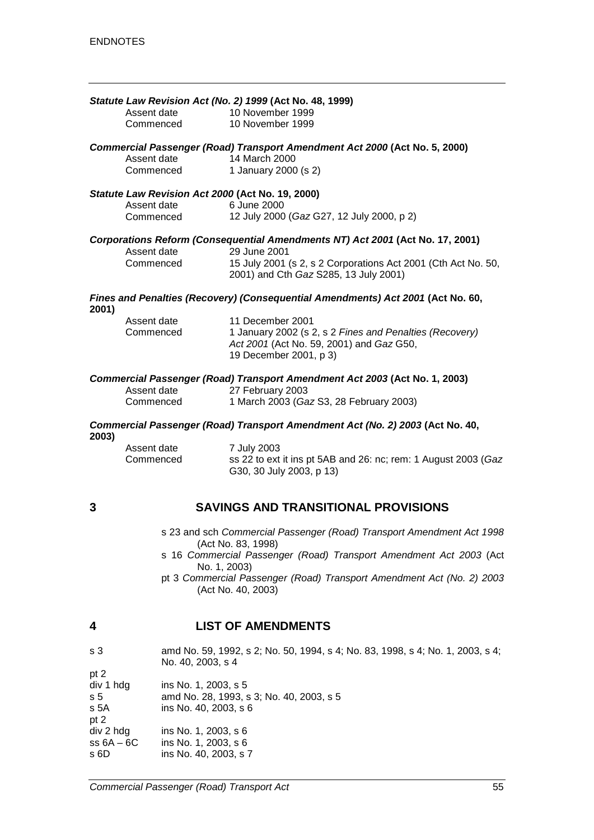|       | Assent date<br>Commenced                                                      | Statute Law Revision Act (No. 2) 1999 (Act No. 48, 1999)<br>10 November 1999<br>10 November 1999                                                                                                                                                                 |  |
|-------|-------------------------------------------------------------------------------|------------------------------------------------------------------------------------------------------------------------------------------------------------------------------------------------------------------------------------------------------------------|--|
|       | Assent date<br>Commenced                                                      | Commercial Passenger (Road) Transport Amendment Act 2000 (Act No. 5, 2000)<br>14 March 2000<br>1 January 2000 (s 2)                                                                                                                                              |  |
|       | Statute Law Revision Act 2000 (Act No. 19, 2000)<br>Assent date<br>Commenced  | 6 June 2000<br>12 July 2000 (Gaz G27, 12 July 2000, p 2)                                                                                                                                                                                                         |  |
|       | Assent date<br>Commenced                                                      | Corporations Reform (Consequential Amendments NT) Act 2001 (Act No. 17, 2001)<br>29 June 2001<br>15 July 2001 (s 2, s 2 Corporations Act 2001 (Cth Act No. 50,<br>2001) and Cth Gaz S285, 13 July 2001)                                                          |  |
| 2001) |                                                                               | Fines and Penalties (Recovery) (Consequential Amendments) Act 2001 (Act No. 60,                                                                                                                                                                                  |  |
|       | Assent date<br>Commenced                                                      | 11 December 2001<br>1 January 2002 (s 2, s 2 Fines and Penalties (Recovery)<br>Act 2001 (Act No. 59, 2001) and Gaz G50,<br>19 December 2001, p 3)                                                                                                                |  |
|       | Assent date<br>Commenced                                                      | Commercial Passenger (Road) Transport Amendment Act 2003 (Act No. 1, 2003)<br>27 February 2003<br>1 March 2003 (Gaz S3, 28 February 2003)                                                                                                                        |  |
| 2003) | Commercial Passenger (Road) Transport Amendment Act (No. 2) 2003 (Act No. 40, |                                                                                                                                                                                                                                                                  |  |
|       | Assent date<br>Commenced                                                      | 7 July 2003<br>ss 22 to ext it ins pt 5AB and 26: nc; rem: 1 August 2003 (Gaz<br>G30, 30 July 2003, p 13)                                                                                                                                                        |  |
| 3     |                                                                               | <b>SAVINGS AND TRANSITIONAL PROVISIONS</b>                                                                                                                                                                                                                       |  |
|       | No. 1, 2003)                                                                  | s 23 and sch Commercial Passenger (Road) Transport Amendment Act 1998<br>(Act No. 83, 1998)<br>s 16 Commercial Passenger (Road) Transport Amendment Act 2003 (Act<br>pt 3 Commercial Passenger (Road) Transport Amendment Act (No. 2) 2003<br>(Act No. 40, 2003) |  |

## **4 LIST OF AMENDMENTS**

| amd No. 59, 1992, s 2; No. 50, 1994, s 4; No. 83, 1998, s 4; No. 1, 2003, s 4;<br>No. 40, 2003, s 4 |
|-----------------------------------------------------------------------------------------------------|
|                                                                                                     |
| ins No. 1, 2003, s 5                                                                                |
| amd No. 28, 1993, s 3; No. 40, 2003, s 5                                                            |
| ins No. 40, 2003, s 6                                                                               |
|                                                                                                     |
| ins No. 1, 2003, s 6                                                                                |
| ins No. 1, 2003, s 6                                                                                |
| ins No. 40, 2003, s 7                                                                               |
|                                                                                                     |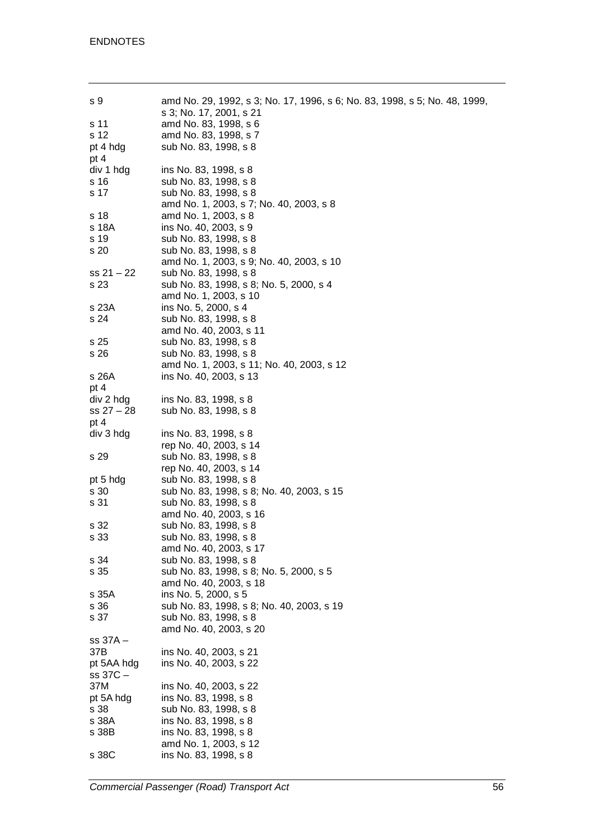| s 9          | amd No. 29, 1992, s 3; No. 17, 1996, s 6; No. 83, 1998, s 5; No. 48, 1999, |
|--------------|----------------------------------------------------------------------------|
|              | s 3; No. 17, 2001, s 21                                                    |
| s 11         | amd No. 83, 1998, s 6                                                      |
| s 12         | amd No. 83, 1998, s 7                                                      |
| pt 4 hdg     | sub No. 83, 1998, s 8                                                      |
| pt 4         |                                                                            |
| div 1 hdg    | ins No. 83, 1998, s 8                                                      |
| s 16         | sub No. 83, 1998, s 8                                                      |
| s 17         | sub No. 83, 1998, s 8                                                      |
|              | amd No. 1, 2003, s 7; No. 40, 2003, s 8                                    |
| s 18         | amd No. 1, 2003, s 8                                                       |
| s 18A        | ins No. 40, 2003, s 9                                                      |
|              |                                                                            |
| s 19         | sub No. 83, 1998, s 8                                                      |
| s 20         | sub No. 83, 1998, s 8                                                      |
|              | amd No. 1, 2003, s 9; No. 40, 2003, s 10                                   |
| $ss 21 - 22$ | sub No. 83, 1998, s 8                                                      |
| s 23         | sub No. 83, 1998, s 8; No. 5, 2000, s 4                                    |
|              | amd No. 1, 2003, s 10                                                      |
| s 23A        | ins No. 5, 2000, s 4                                                       |
| s 24         | sub No. 83, 1998, s 8                                                      |
|              | amd No. 40, 2003, s 11                                                     |
| s 25         | sub No. 83, 1998, s 8                                                      |
| s 26         | sub No. 83, 1998, s 8                                                      |
|              | amd No. 1, 2003, s 11; No. 40, 2003, s 12                                  |
| s 26A        | ins No. 40, 2003, s 13                                                     |
| pt 4         |                                                                            |
|              |                                                                            |
| div 2 hdg    | ins No. 83, 1998, s 8                                                      |
| $ss 27 - 28$ | sub No. 83, 1998, s 8                                                      |
| pt 4         |                                                                            |
| div 3 hdg    | ins No. 83, 1998, s 8                                                      |
|              | rep No. 40, 2003, s 14                                                     |
| s 29         | sub No. 83, 1998, s 8                                                      |
|              | rep No. 40, 2003, s 14                                                     |
| pt 5 hdg     | sub No. 83, 1998, s 8                                                      |
| s 30         | sub No. 83, 1998, s 8; No. 40, 2003, s 15                                  |
| s 31         | sub No. 83, 1998, s 8                                                      |
|              | amd No. 40, 2003, s 16                                                     |
| s 32         | sub No. 83, 1998, s 8                                                      |
| s 33         | sub No. 83, 1998, s 8                                                      |
|              | amd No. 40, 2003, s 17                                                     |
| s 34         | sub No. 83, 1998, s 8                                                      |
|              | sub No. 83, 1998, s 8; No. 5, 2000, s 5                                    |
| s 35         |                                                                            |
|              | amd No. 40, 2003, s 18                                                     |
| s 35A        | ins No. 5, 2000, s 5                                                       |
| s 36         | sub No. 83, 1998, s 8; No. 40, 2003, s 19                                  |
| s 37         | sub No. 83, 1998, s 8                                                      |
|              | amd No. 40, 2003, s 20                                                     |
| ss 37A –     |                                                                            |
| 37B          | ins No. 40, 2003, s 21                                                     |
| pt 5AA hdg   | ins No. 40, 2003, s 22                                                     |
| ss 37C -     |                                                                            |
| 37M          | ins No. 40, 2003, s 22                                                     |
| pt 5A hdg    | ins No. 83, 1998, s 8                                                      |
| s 38         | sub No. 83, 1998, s 8                                                      |
| s 38A        | ins No. 83, 1998, s 8                                                      |
|              |                                                                            |
| s 38B        | ins No. 83, 1998, s 8                                                      |
|              | amd No. 1, 2003, s 12                                                      |
| s 38C        | ins No. 83, 1998, s 8                                                      |